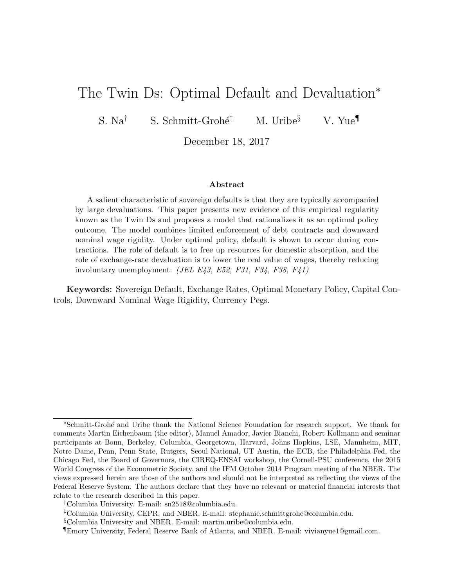# The Twin Ds: Optimal Default and Devaluation<sup>∗</sup>

S. Na<sup>†</sup> S. Schmitt-Grohé<sup>‡</sup> M. Uribe<sup>§</sup> V. Yue<sup>¶</sup>

December 18, 2017

#### Abstract

A salient characteristic of sovereign defaults is that they are typically accompanied by large devaluations. This paper presents new evidence of this empirical regularity known as the Twin Ds and proposes a model that rationalizes it as an optimal policy outcome. The model combines limited enforcement of debt contracts and downward nominal wage rigidity. Under optimal policy, default is shown to occur during contractions. The role of default is to free up resources for domestic absorption, and the role of exchange-rate devaluation is to lower the real value of wages, thereby reducing involuntary unemployment. (*JEL E43*, *E52*, *F31*, *F34*, *F38*, *F41*)

Keywords: Sovereign Default, Exchange Rates, Optimal Monetary Policy, Capital Controls, Downward Nominal Wage Rigidity, Currency Pegs.

<sup>∗</sup>Schmitt-Groh´e and Uribe thank the National Science Foundation for research support. We thank for comments Martin Eichenbaum (the editor), Manuel Amador, Javier Bianchi, Robert Kollmann and seminar participants at Bonn, Berkeley, Columbia, Georgetown, Harvard, Johns Hopkins, LSE, Mannheim, MIT, Notre Dame, Penn, Penn State, Rutgers, Seoul National, UT Austin, the ECB, the Philadelphia Fed, the Chicago Fed, the Board of Governors, the CIREQ-ENSAI workshop, the Cornell-PSU conference, the 2015 World Congress of the Econometric Society, and the IFM October 2014 Program meeting of the NBER. The views expressed herein are those of the authors and should not be interpreted as reflecting the views of the Federal Reserve System. The authors declare that they have no relevant or material financial interests that relate to the research described in this paper.

<sup>†</sup>Columbia University. E-mail: sn2518@columbia.edu.

<sup>‡</sup>Columbia University, CEPR, and NBER. E-mail: stephanie.schmittgrohe@columbia.edu.

<sup>§</sup>Columbia University and NBER. E-mail: martin.uribe@columbia.edu.

<sup>¶</sup>Emory University, Federal Reserve Bank of Atlanta, and NBER. E-mail: vivianyue1@gmail.com.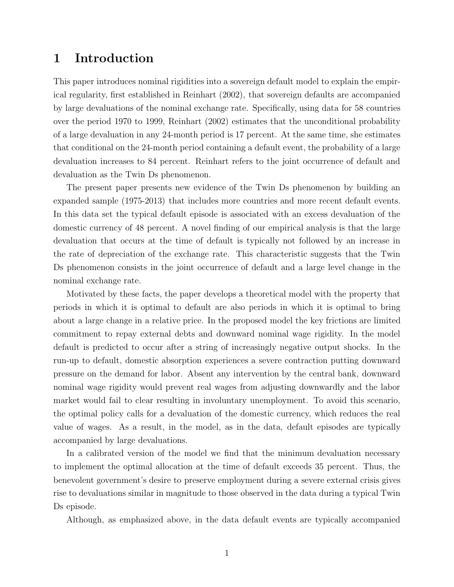# 1 Introduction

This paper introduces nominal rigidities into a sovereign default model to explain the empirical regularity, first established in Reinhart (2002), that sovereign defaults are accompanied by large devaluations of the nominal exchange rate. Specifically, using data for 58 countries over the period 1970 to 1999, Reinhart (2002) estimates that the unconditional probability of a large devaluation in any 24-month period is 17 percent. At the same time, she estimates that conditional on the 24-month period containing a default event, the probability of a large devaluation increases to 84 percent. Reinhart refers to the joint occurrence of default and devaluation as the Twin Ds phenomenon.

The present paper presents new evidence of the Twin Ds phenomenon by building an expanded sample (1975-2013) that includes more countries and more recent default events. In this data set the typical default episode is associated with an excess devaluation of the domestic currency of 48 percent. A novel finding of our empirical analysis is that the large devaluation that occurs at the time of default is typically not followed by an increase in the rate of depreciation of the exchange rate. This characteristic suggests that the Twin Ds phenomenon consists in the joint occurrence of default and a large level change in the nominal exchange rate.

Motivated by these facts, the paper develops a theoretical model with the property that periods in which it is optimal to default are also periods in which it is optimal to bring about a large change in a relative price. In the proposed model the key frictions are limited commitment to repay external debts and downward nominal wage rigidity. In the model default is predicted to occur after a string of increasingly negative output shocks. In the run-up to default, domestic absorption experiences a severe contraction putting downward pressure on the demand for labor. Absent any intervention by the central bank, downward nominal wage rigidity would prevent real wages from adjusting downwardly and the labor market would fail to clear resulting in involuntary unemployment. To avoid this scenario, the optimal policy calls for a devaluation of the domestic currency, which reduces the real value of wages. As a result, in the model, as in the data, default episodes are typically accompanied by large devaluations.

In a calibrated version of the model we find that the minimum devaluation necessary to implement the optimal allocation at the time of default exceeds 35 percent. Thus, the benevolent government's desire to preserve employment during a severe external crisis gives rise to devaluations similar in magnitude to those observed in the data during a typical Twin Ds episode.

Although, as emphasized above, in the data default events are typically accompanied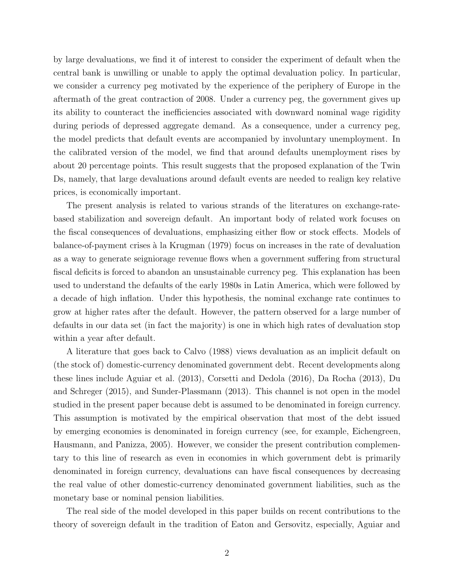by large devaluations, we find it of interest to consider the experiment of default when the central bank is unwilling or unable to apply the optimal devaluation policy. In particular, we consider a currency peg motivated by the experience of the periphery of Europe in the aftermath of the great contraction of 2008. Under a currency peg, the government gives up its ability to counteract the inefficiencies associated with downward nominal wage rigidity during periods of depressed aggregate demand. As a consequence, under a currency peg, the model predicts that default events are accompanied by involuntary unemployment. In the calibrated version of the model, we find that around defaults unemployment rises by about 20 percentage points. This result suggests that the proposed explanation of the Twin Ds, namely, that large devaluations around default events are needed to realign key relative prices, is economically important.

The present analysis is related to various strands of the literatures on exchange-ratebased stabilization and sovereign default. An important body of related work focuses on the fiscal consequences of devaluations, emphasizing either flow or stock effects. Models of balance-of-payment crises `a la Krugman (1979) focus on increases in the rate of devaluation as a way to generate seigniorage revenue flows when a government suffering from structural fiscal deficits is forced to abandon an unsustainable currency peg. This explanation has been used to understand the defaults of the early 1980s in Latin America, which were followed by a decade of high inflation. Under this hypothesis, the nominal exchange rate continues to grow at higher rates after the default. However, the pattern observed for a large number of defaults in our data set (in fact the majority) is one in which high rates of devaluation stop within a year after default.

A literature that goes back to Calvo (1988) views devaluation as an implicit default on (the stock of) domestic-currency denominated government debt. Recent developments along these lines include Aguiar et al. (2013), Corsetti and Dedola (2016), Da Rocha (2013), Du and Schreger (2015), and Sunder-Plassmann (2013). This channel is not open in the model studied in the present paper because debt is assumed to be denominated in foreign currency. This assumption is motivated by the empirical observation that most of the debt issued by emerging economies is denominated in foreign currency (see, for example, Eichengreen, Hausmann, and Panizza, 2005). However, we consider the present contribution complementary to this line of research as even in economies in which government debt is primarily denominated in foreign currency, devaluations can have fiscal consequences by decreasing the real value of other domestic-currency denominated government liabilities, such as the monetary base or nominal pension liabilities.

The real side of the model developed in this paper builds on recent contributions to the theory of sovereign default in the tradition of Eaton and Gersovitz, especially, Aguiar and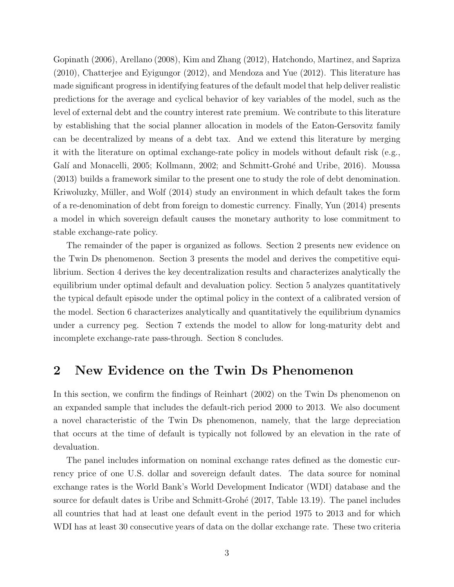Gopinath (2006), Arellano (2008), Kim and Zhang (2012), Hatchondo, Martinez, and Sapriza (2010), Chatterjee and Eyigungor (2012), and Mendoza and Yue (2012). This literature has made significant progress in identifying features of the default model that help deliver realistic predictions for the average and cyclical behavior of key variables of the model, such as the level of external debt and the country interest rate premium. We contribute to this literature by establishing that the social planner allocation in models of the Eaton-Gersovitz family can be decentralized by means of a debt tax. And we extend this literature by merging it with the literature on optimal exchange-rate policy in models without default risk (e.g., Galí and Monacelli, 2005; Kollmann, 2002; and Schmitt-Grohé and Uribe, 2016). Moussa (2013) builds a framework similar to the present one to study the role of debt denomination. Kriwoluzky, Müller, and Wolf (2014) study an environment in which default takes the form of a re-denomination of debt from foreign to domestic currency. Finally, Yun (2014) presents a model in which sovereign default causes the monetary authority to lose commitment to stable exchange-rate policy.

The remainder of the paper is organized as follows. Section 2 presents new evidence on the Twin Ds phenomenon. Section 3 presents the model and derives the competitive equilibrium. Section 4 derives the key decentralization results and characterizes analytically the equilibrium under optimal default and devaluation policy. Section 5 analyzes quantitatively the typical default episode under the optimal policy in the context of a calibrated version of the model. Section 6 characterizes analytically and quantitatively the equilibrium dynamics under a currency peg. Section 7 extends the model to allow for long-maturity debt and incomplete exchange-rate pass-through. Section 8 concludes.

# 2 New Evidence on the Twin Ds Phenomenon

In this section, we confirm the findings of Reinhart (2002) on the Twin Ds phenomenon on an expanded sample that includes the default-rich period 2000 to 2013. We also document a novel characteristic of the Twin Ds phenomenon, namely, that the large depreciation that occurs at the time of default is typically not followed by an elevation in the rate of devaluation.

The panel includes information on nominal exchange rates defined as the domestic currency price of one U.S. dollar and sovereign default dates. The data source for nominal exchange rates is the World Bank's World Development Indicator (WDI) database and the source for default dates is Uribe and Schmitt-Grohé (2017, Table 13.19). The panel includes all countries that had at least one default event in the period 1975 to 2013 and for which WDI has at least 30 consecutive years of data on the dollar exchange rate. These two criteria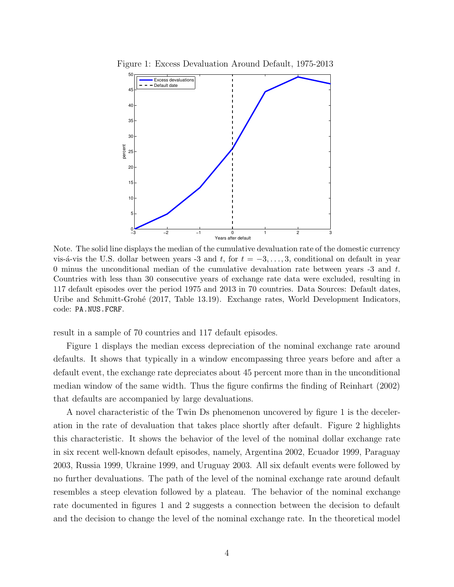

Figure 1: Excess Devaluation Around Default, 1975-2013

Note. The solid line displays the median of the cumulative devaluation rate of the domestic currency vis- $\acute{a}$ -vis the U.S. dollar between years -3 and t, for  $t = -3, \ldots, 3$ , conditional on default in year 0 minus the unconditional median of the cumulative devaluation rate between years  $-3$  and t. Countries with less than 30 consecutive years of exchange rate data were excluded, resulting in 117 default episodes over the period 1975 and 2013 in 70 countries. Data Sources: Default dates, Uribe and Schmitt-Grohé (2017, Table 13.19). Exchange rates, World Development Indicators, code: PA.NUS.FCRF.

result in a sample of 70 countries and 117 default episodes.

Figure 1 displays the median excess depreciation of the nominal exchange rate around defaults. It shows that typically in a window encompassing three years before and after a default event, the exchange rate depreciates about 45 percent more than in the unconditional median window of the same width. Thus the figure confirms the finding of Reinhart (2002) that defaults are accompanied by large devaluations.

A novel characteristic of the Twin Ds phenomenon uncovered by figure 1 is the deceleration in the rate of devaluation that takes place shortly after default. Figure 2 highlights this characteristic. It shows the behavior of the level of the nominal dollar exchange rate in six recent well-known default episodes, namely, Argentina 2002, Ecuador 1999, Paraguay 2003, Russia 1999, Ukraine 1999, and Uruguay 2003. All six default events were followed by no further devaluations. The path of the level of the nominal exchange rate around default resembles a steep elevation followed by a plateau. The behavior of the nominal exchange rate documented in figures 1 and 2 suggests a connection between the decision to default and the decision to change the level of the nominal exchange rate. In the theoretical model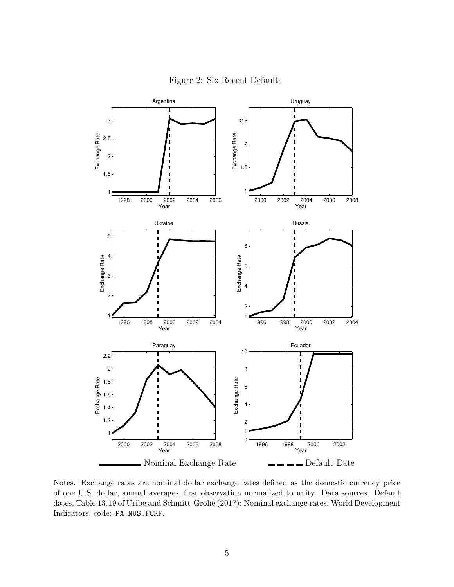



Notes. Exchange rates are nominal dollar exchange rates defined as the domestic currency price of one U.S. dollar, annual averages, first observation normalized to unity. Data sources. Default dates, Table 13.19 of Uribe and Schmitt-Grohé (2017); Nominal exchange rates, World Development Indicators, code: PA.NUS.FCRF.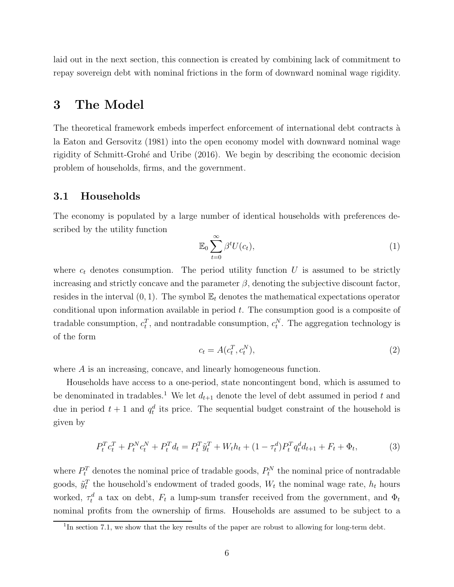laid out in the next section, this connection is created by combining lack of commitment to repay sovereign debt with nominal frictions in the form of downward nominal wage rigidity.

# 3 The Model

The theoretical framework embeds imperfect enforcement of international debt contracts à la Eaton and Gersovitz (1981) into the open economy model with downward nominal wage rigidity of Schmitt-Grohé and Uribe (2016). We begin by describing the economic decision problem of households, firms, and the government.

### 3.1 Households

The economy is populated by a large number of identical households with preferences described by the utility function

$$
\mathbb{E}_0 \sum_{t=0}^{\infty} \beta^t U(c_t),\tag{1}
$$

where  $c_t$  denotes consumption. The period utility function U is assumed to be strictly increasing and strictly concave and the parameter  $\beta$ , denoting the subjective discount factor, resides in the interval  $(0, 1)$ . The symbol  $\mathbb{E}_t$  denotes the mathematical expectations operator conditional upon information available in period t. The consumption good is a composite of tradable consumption,  $c_t^T$ , and nontradable consumption,  $c_t^N$ . The aggregation technology is of the form

$$
c_t = A(c_t^T, c_t^N),\tag{2}
$$

where  $A$  is an increasing, concave, and linearly homogeneous function.

Households have access to a one-period, state noncontingent bond, which is assumed to be denominated in tradables.<sup>1</sup> We let  $d_{t+1}$  denote the level of debt assumed in period t and due in period  $t + 1$  and  $q_t^d$  its price. The sequential budget constraint of the household is given by

$$
P_t^T c_t^T + P_t^N c_t^N + P_t^T d_t = P_t^T \tilde{y}_t^T + W_t h_t + (1 - \tau_t^d) P_t^T q_t^d d_{t+1} + F_t + \Phi_t,
$$
\n(3)

where  $P_t^T$  denotes the nominal price of tradable goods,  $P_t^N$  the nominal price of nontradable goods,  $\tilde{y}_t^T$  the household's endowment of traded goods,  $W_t$  the nominal wage rate,  $h_t$  hours worked,  $\tau_t^d$  a tax on debt,  $F_t$  a lump-sum transfer received from the government, and  $\Phi_t$ nominal profits from the ownership of firms. Households are assumed to be subject to a

<sup>&</sup>lt;sup>1</sup>In section 7.1, we show that the key results of the paper are robust to allowing for long-term debt.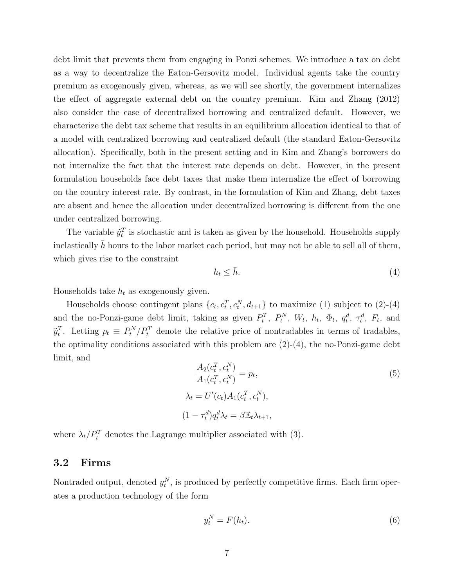debt limit that prevents them from engaging in Ponzi schemes. We introduce a tax on debt as a way to decentralize the Eaton-Gersovitz model. Individual agents take the country premium as exogenously given, whereas, as we will see shortly, the government internalizes the effect of aggregate external debt on the country premium. Kim and Zhang (2012) also consider the case of decentralized borrowing and centralized default. However, we characterize the debt tax scheme that results in an equilibrium allocation identical to that of a model with centralized borrowing and centralized default (the standard Eaton-Gersovitz allocation). Specifically, both in the present setting and in Kim and Zhang's borrowers do not internalize the fact that the interest rate depends on debt. However, in the present formulation households face debt taxes that make them internalize the effect of borrowing on the country interest rate. By contrast, in the formulation of Kim and Zhang, debt taxes are absent and hence the allocation under decentralized borrowing is different from the one under centralized borrowing.

The variable  $\tilde{y}_t^T$  is stochastic and is taken as given by the household. Households supply inelastically  $h$  hours to the labor market each period, but may not be able to sell all of them, which gives rise to the constraint

$$
h_t \leq \bar{h}.\tag{4}
$$

Households take  $h_t$  as exogenously given.

Households choose contingent plans  $\{c_t, c_t^T, c_t^N, d_{t+1}\}\$ to maximize (1) subject to (2)-(4) and the no-Ponzi-game debt limit, taking as given  $P_t^T$ ,  $P_t^N$ ,  $W_t$ ,  $h_t$ ,  $\Phi_t$ ,  $q_t^d$ ,  $\tau_t^d$ ,  $F_t$ , and  $\tilde{y}_t^T$ . Letting  $p_t \equiv P_t^N/P_t^T$  denote the relative price of nontradables in terms of tradables, the optimality conditions associated with this problem are  $(2)-(4)$ , the no-Ponzi-game debt limit, and

$$
\frac{A_2(c_t^T, c_t^N)}{A_1(c_t^T, c_t^N)} = p_t,
$$
\n
$$
\lambda_t = U'(c_t) A_1(c_t^T, c_t^N),
$$
\n
$$
1 - \tau_t^d) q_t^d \lambda_t = \beta \mathbb{E}_t \lambda_{t+1},
$$
\n(5)

where  $\lambda_t/P_t^T$  denotes the Lagrange multiplier associated with (3).

 $($ 

### 3.2 Firms

Nontraded output, denoted  $y_t^N$ , is produced by perfectly competitive firms. Each firm operates a production technology of the form

$$
y_t^N = F(h_t). \tag{6}
$$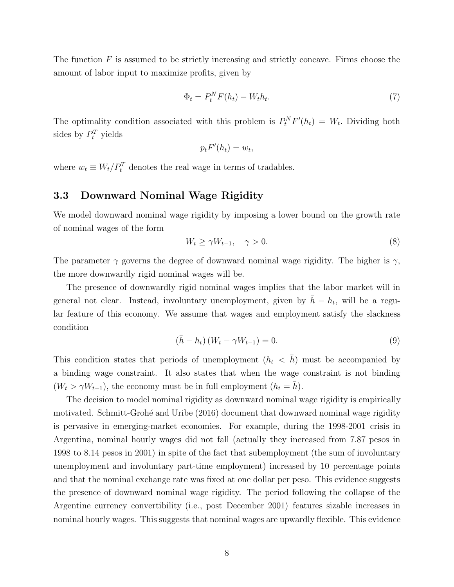The function  $F$  is assumed to be strictly increasing and strictly concave. Firms choose the amount of labor input to maximize profits, given by

$$
\Phi_t = P_t^N F(h_t) - W_t h_t. \tag{7}
$$

The optimality condition associated with this problem is  $P_t^N F'(h_t) = W_t$ . Dividing both sides by  $P_t^T$  yields

$$
p_t F'(h_t) = w_t,
$$

where  $w_t \equiv W_t/P_t^T$  denotes the real wage in terms of tradables.

## 3.3 Downward Nominal Wage Rigidity

We model downward nominal wage rigidity by imposing a lower bound on the growth rate of nominal wages of the form

$$
W_t \ge \gamma W_{t-1}, \quad \gamma > 0. \tag{8}
$$

The parameter  $\gamma$  governs the degree of downward nominal wage rigidity. The higher is  $\gamma$ , the more downwardly rigid nominal wages will be.

The presence of downwardly rigid nominal wages implies that the labor market will in general not clear. Instead, involuntary unemployment, given by  $\bar{h} - h_t$ , will be a regular feature of this economy. We assume that wages and employment satisfy the slackness condition

$$
(\bar{h} - h_t) (W_t - \gamma W_{t-1}) = 0.
$$
\n(9)

This condition states that periods of unemployment  $(h_t < \bar{h})$  must be accompanied by a binding wage constraint. It also states that when the wage constraint is not binding  $(W_t > \gamma W_{t-1})$ , the economy must be in full employment  $(h_t = h)$ .

The decision to model nominal rigidity as downward nominal wage rigidity is empirically motivated. Schmitt-Grohé and Uribe (2016) document that downward nominal wage rigidity is pervasive in emerging-market economies. For example, during the 1998-2001 crisis in Argentina, nominal hourly wages did not fall (actually they increased from 7.87 pesos in 1998 to 8.14 pesos in 2001) in spite of the fact that subemployment (the sum of involuntary unemployment and involuntary part-time employment) increased by 10 percentage points and that the nominal exchange rate was fixed at one dollar per peso. This evidence suggests the presence of downward nominal wage rigidity. The period following the collapse of the Argentine currency convertibility (i.e., post December 2001) features sizable increases in nominal hourly wages. This suggests that nominal wages are upwardly flexible. This evidence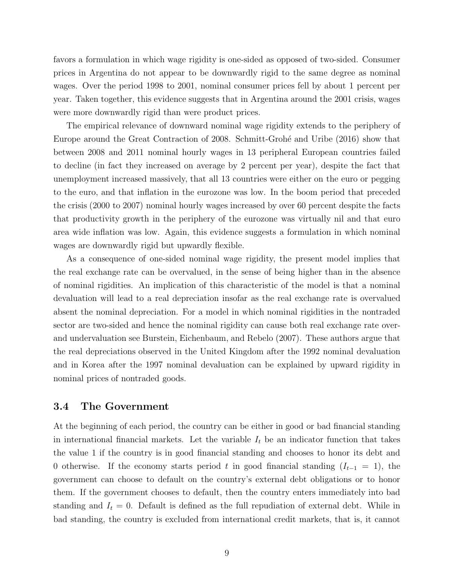favors a formulation in which wage rigidity is one-sided as opposed of two-sided. Consumer prices in Argentina do not appear to be downwardly rigid to the same degree as nominal wages. Over the period 1998 to 2001, nominal consumer prices fell by about 1 percent per year. Taken together, this evidence suggests that in Argentina around the 2001 crisis, wages were more downwardly rigid than were product prices.

The empirical relevance of downward nominal wage rigidity extends to the periphery of Europe around the Great Contraction of 2008. Schmitt-Grohé and Uribe (2016) show that between 2008 and 2011 nominal hourly wages in 13 peripheral European countries failed to decline (in fact they increased on average by 2 percent per year), despite the fact that unemployment increased massively, that all 13 countries were either on the euro or pegging to the euro, and that inflation in the eurozone was low. In the boom period that preceded the crisis (2000 to 2007) nominal hourly wages increased by over 60 percent despite the facts that productivity growth in the periphery of the eurozone was virtually nil and that euro area wide inflation was low. Again, this evidence suggests a formulation in which nominal wages are downwardly rigid but upwardly flexible.

As a consequence of one-sided nominal wage rigidity, the present model implies that the real exchange rate can be overvalued, in the sense of being higher than in the absence of nominal rigidities. An implication of this characteristic of the model is that a nominal devaluation will lead to a real depreciation insofar as the real exchange rate is overvalued absent the nominal depreciation. For a model in which nominal rigidities in the nontraded sector are two-sided and hence the nominal rigidity can cause both real exchange rate overand undervaluation see Burstein, Eichenbaum, and Rebelo (2007). These authors argue that the real depreciations observed in the United Kingdom after the 1992 nominal devaluation and in Korea after the 1997 nominal devaluation can be explained by upward rigidity in nominal prices of nontraded goods.

### 3.4 The Government

At the beginning of each period, the country can be either in good or bad financial standing in international financial markets. Let the variable  $I_t$  be an indicator function that takes the value 1 if the country is in good financial standing and chooses to honor its debt and 0 otherwise. If the economy starts period t in good financial standing  $(I_{t-1} = 1)$ , the government can choose to default on the country's external debt obligations or to honor them. If the government chooses to default, then the country enters immediately into bad standing and  $I_t = 0$ . Default is defined as the full repudiation of external debt. While in bad standing, the country is excluded from international credit markets, that is, it cannot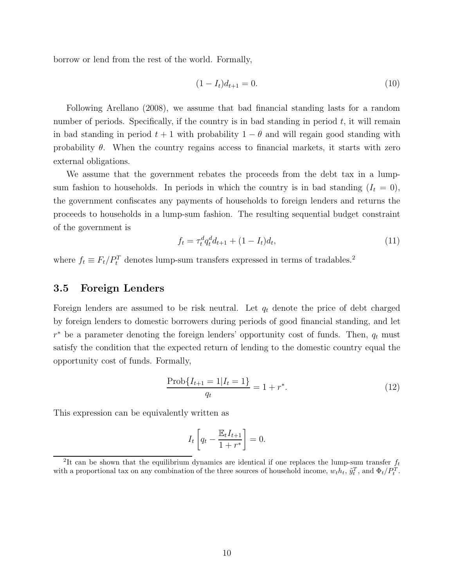borrow or lend from the rest of the world. Formally,

$$
(1 - I_t)d_{t+1} = 0.
$$
\n(10)

Following Arellano (2008), we assume that bad financial standing lasts for a random number of periods. Specifically, if the country is in bad standing in period  $t$ , it will remain in bad standing in period  $t + 1$  with probability  $1 - \theta$  and will regain good standing with probability  $\theta$ . When the country regains access to financial markets, it starts with zero external obligations.

We assume that the government rebates the proceeds from the debt tax in a lumpsum fashion to households. In periods in which the country is in bad standing  $(I_t = 0)$ , the government confiscates any payments of households to foreign lenders and returns the proceeds to households in a lump-sum fashion. The resulting sequential budget constraint of the government is

$$
f_t = \tau_t^d q_t^d d_{t+1} + (1 - I_t) d_t,\tag{11}
$$

where  $f_t \equiv F_t/P_t^T$  denotes lump-sum transfers expressed in terms of tradables.<sup>2</sup>

## 3.5 Foreign Lenders

Foreign lenders are assumed to be risk neutral. Let  $q_t$  denote the price of debt charged by foreign lenders to domestic borrowers during periods of good financial standing, and let  $r^*$  be a parameter denoting the foreign lenders' opportunity cost of funds. Then,  $q_t$  must satisfy the condition that the expected return of lending to the domestic country equal the opportunity cost of funds. Formally,

$$
\frac{\text{Prob}\{I_{t+1} = 1 | I_t = 1\}}{q_t} = 1 + r^*.
$$
\n(12)

This expression can be equivalently written as

$$
I_t\left[q_t - \frac{\mathbb{E}_t I_{t+1}}{1+r^*}\right] = 0.
$$

<sup>&</sup>lt;sup>2</sup>It can be shown that the equilibrium dynamics are identical if one replaces the lump-sum transfer  $f_t$ with a proportional tax on any combination of the three sources of household income,  $w_t h_t$ ,  $\tilde{y}_t^T$ , and  $\Phi_t / P_t^T$ .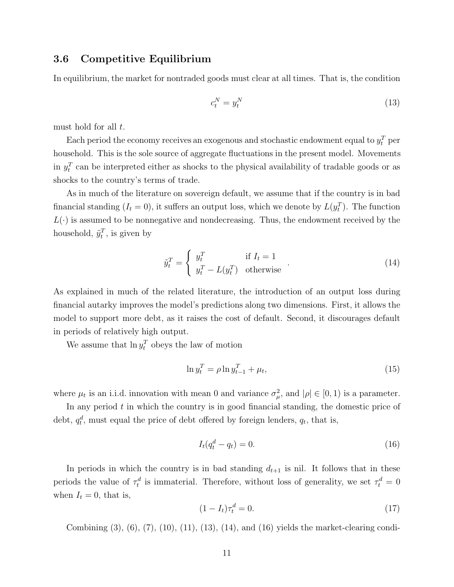## 3.6 Competitive Equilibrium

In equilibrium, the market for nontraded goods must clear at all times. That is, the condition

$$
c_t^N = y_t^N \tag{13}
$$

must hold for all  $t$ .

Each period the economy receives an exogenous and stochastic endowment equal to  $y_t^T$  per household. This is the sole source of aggregate fluctuations in the present model. Movements in  $y_t^T$  can be interpreted either as shocks to the physical availability of tradable goods or as shocks to the country's terms of trade.

As in much of the literature on sovereign default, we assume that if the country is in bad financial standing  $(I_t = 0)$ , it suffers an output loss, which we denote by  $L(y_t^T)$ . The function  $L(\cdot)$  is assumed to be nonnegative and nondecreasing. Thus, the endowment received by the household,  $\tilde{y}_t^T$ , is given by

$$
\tilde{y}_t^T = \begin{cases}\ny_t^T & \text{if } I_t = 1 \\
y_t^T - L(y_t^T) & \text{otherwise}\n\end{cases} \tag{14}
$$

As explained in much of the related literature, the introduction of an output loss during financial autarky improves the model's predictions along two dimensions. First, it allows the model to support more debt, as it raises the cost of default. Second, it discourages default in periods of relatively high output.

We assume that  $\ln y_t^T$  obeys the law of motion

$$
\ln y_t^T = \rho \ln y_{t-1}^T + \mu_t,\tag{15}
$$

where  $\mu_t$  is an i.i.d. innovation with mean 0 and variance  $\sigma_{\mu}^2$ , and  $|\rho| \in [0, 1)$  is a parameter.

In any period  $t$  in which the country is in good financial standing, the domestic price of debt,  $q_t^d$ , must equal the price of debt offered by foreign lenders,  $q_t$ , that is,

$$
I_t(q_t^d - q_t) = 0.\t\t(16)
$$

In periods in which the country is in bad standing  $d_{t+1}$  is nil. It follows that in these periods the value of  $\tau_t^d$  is immaterial. Therefore, without loss of generality, we set  $\tau_t^d = 0$ when  $I_t = 0$ , that is,

$$
(1 - I_t)\tau_t^d = 0.\t\t(17)
$$

Combining  $(3)$ ,  $(6)$ ,  $(7)$ ,  $(10)$ ,  $(11)$ ,  $(13)$ ,  $(14)$ , and  $(16)$  yields the market-clearing condi-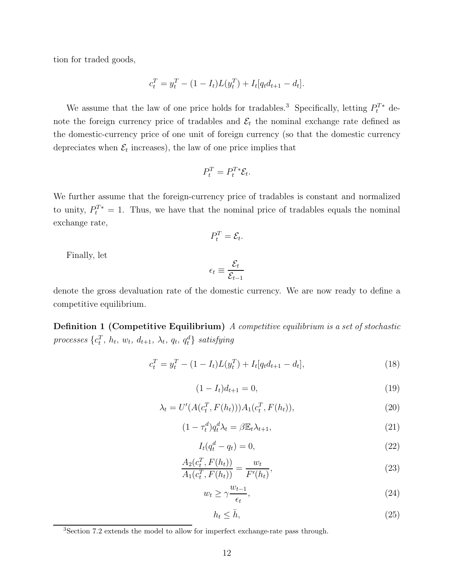tion for traded goods,

$$
c_t^T = y_t^T - (1 - I_t)L(y_t^T) + I_t[q_t d_{t+1} - d_t].
$$

We assume that the law of one price holds for tradables.<sup>3</sup> Specifically, letting  $P_t^{T*}$  denote the foreign currency price of tradables and  $\mathcal{E}_t$  the nominal exchange rate defined as the domestic-currency price of one unit of foreign currency (so that the domestic currency depreciates when  $\mathcal{E}_t$  increases), the law of one price implies that

$$
P_t^T = P_t^{T*} \mathcal{E}_t.
$$

We further assume that the foreign-currency price of tradables is constant and normalized to unity,  $P_t^{T*} = 1$ . Thus, we have that the nominal price of tradables equals the nominal exchange rate,

$$
P_t^T = \mathcal{E}_t.
$$

Finally, let

$$
\epsilon_t \equiv \frac{\mathcal{E}_t}{\mathcal{E}_{t-1}}
$$

denote the gross devaluation rate of the domestic currency. We are now ready to define a competitive equilibrium.

Definition 1 (Competitive Equilibrium) A competitive equilibrium is a set of stochastic processes  $\{c_t^T, h_t, w_t, d_{t+1}, \lambda_t, q_t, q_t^d\}$  satisfying

$$
c_t^T = y_t^T - (1 - I_t)L(y_t^T) + I_t[q_t d_{t+1} - d_t],
$$
\n(18)

$$
(1 - I_t)d_{t+1} = 0,\t\t(19)
$$

$$
\lambda_t = U'(A(c_t^T, F(h_t))) A_1(c_t^T, F(h_t)), \tag{20}
$$

$$
(1 - \tau_t^d) q_t^d \lambda_t = \beta \mathbb{E}_t \lambda_{t+1}, \tag{21}
$$

$$
I_t(q_t^d - q_t) = 0,\t\t(22)
$$

$$
\frac{A_2(c_t^T, F(h_t))}{A_1(c_t^T, F(h_t))} = \frac{w_t}{F'(h_t)},
$$
\n(23)

$$
w_t \ge \gamma \frac{w_{t-1}}{\epsilon_t},\tag{24}
$$

$$
h_t \le \bar{h},\tag{25}
$$

<sup>3</sup>Section 7.2 extends the model to allow for imperfect exchange-rate pass through.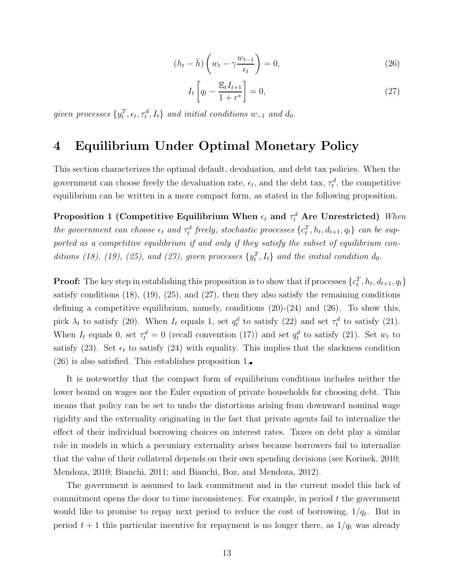$$
(h_t - \bar{h})\left(w_t - \gamma \frac{w_{t-1}}{\epsilon_t}\right) = 0,\tag{26}
$$

$$
I_t \left[ q_t - \frac{\mathbb{E}_t I_{t+1}}{1 + r^*} \right] = 0,
$$
\n
$$
(27)
$$

given processes  $\{y_t^T, \epsilon_t, \tau_t^d, I_t\}$  and initial conditions  $w_{-1}$  and  $d_0$ .

# 4 Equilibrium Under Optimal Monetary Policy

This section characterizes the optimal default, devaluation, and debt tax policies. When the government can choose freely the devaluation rate,  $\epsilon_t$ , and the debt tax,  $\tau_t^d$ , the competitive equilibrium can be written in a more compact form, as stated in the following proposition.

Proposition 1 (Competitive Equilibrium When  $\epsilon_t$  and  $\tau_t^d$  Are Unrestricted) When the government can choose  $\epsilon_t$  and  $\tau_t^d$  freely, stochastic processes  $\{c_t^T, h_t, d_{t+1}, q_t\}$  can be supported as a competitive equilibrium if and only if they satisfy the subset of equilibrium conditions (18), (19), (25), and (27), given processes  $\{y_t^T, I_t\}$  and the initial condition  $d_0$ .

**Proof:** The key step in establishing this proposition is to show that if processes  $\{c_t^T, h_t, d_{t+1}, q_t\}$ satisfy conditions  $(18)$ ,  $(19)$ ,  $(25)$ , and  $(27)$ , then they also satisfy the remaining conditions defining a competitive equilibrium, namely, conditions  $(20)-(24)$  and  $(26)$ . To show this, pick  $\lambda_t$  to satisfy (20). When  $I_t$  equals 1, set  $q_t^d$  to satisfy (22) and set  $\tau_t^d$  to satisfy (21). When  $I_t$  equals 0, set  $\tau_t^d = 0$  (recall convention (17)) and set  $q_t^d$  to satisfy (21). Set  $w_t$  to satisfy (23). Set  $\epsilon_t$  to satisfy (24) with equality. This implies that the slackness condition (26) is also satisfied. This establishes proposition 1.

It is noteworthy that the compact form of equilibrium conditions includes neither the lower bound on wages nor the Euler equation of private households for choosing debt. This means that policy can be set to undo the distortions arising from downward nominal wage rigidity and the externality originating in the fact that private agents fail to internalize the effect of their individual borrowing choices on interest rates. Taxes on debt play a similar role in models in which a pecuniary externality arises because borrowers fail to internalize that the value of their collateral depends on their own spending decisions (see Korinek, 2010; Mendoza, 2010; Bianchi, 2011; and Bianchi, Boz, and Mendoza, 2012).

The government is assumed to lack commitment and in the current model this lack of commitment opens the door to time inconsistency. For example, in period t the government would like to promise to repay next period to reduce the cost of borrowing,  $1/q_t$ . But in period  $t + 1$  this particular incentive for repayment is no longer there, as  $1/q_t$  was already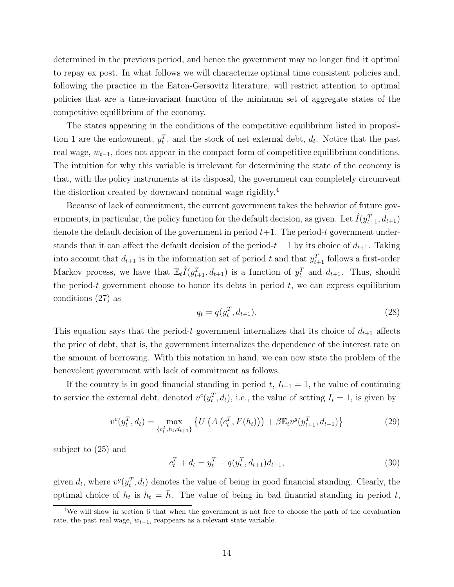determined in the previous period, and hence the government may no longer find it optimal to repay ex post. In what follows we will characterize optimal time consistent policies and, following the practice in the Eaton-Gersovitz literature, will restrict attention to optimal policies that are a time-invariant function of the minimum set of aggregate states of the competitive equilibrium of the economy.

The states appearing in the conditions of the competitive equilibrium listed in proposition 1 are the endowment,  $y_t^T$ , and the stock of net external debt,  $d_t$ . Notice that the past real wage,  $w_{t-1}$ , does not appear in the compact form of competitive equilibrium conditions. The intuition for why this variable is irrelevant for determining the state of the economy is that, with the policy instruments at its disposal, the government can completely circumvent the distortion created by downward nominal wage rigidity.<sup>4</sup>

Because of lack of commitment, the current government takes the behavior of future governments, in particular, the policy function for the default decision, as given. Let  $\hat{I}(y_{t+1}^T, d_{t+1})$ denote the default decision of the government in period  $t+1$ . The period-t government understands that it can affect the default decision of the period-t + 1 by its choice of  $d_{t+1}$ . Taking into account that  $d_{t+1}$  is in the information set of period t and that  $y_{t+1}^T$  follows a first-order Markov process, we have that  $\mathbb{E}_t \hat{I}(y_{t+1}^T, d_{t+1})$  is a function of  $y_t^T$  and  $d_{t+1}$ . Thus, should the period-t government choose to honor its debts in period  $t$ , we can express equilibrium conditions (27) as

$$
q_t = q(y_t^T, d_{t+1}).
$$
\n(28)

This equation says that the period-t government internalizes that its choice of  $d_{t+1}$  affects the price of debt, that is, the government internalizes the dependence of the interest rate on the amount of borrowing. With this notation in hand, we can now state the problem of the benevolent government with lack of commitment as follows.

If the country is in good financial standing in period t,  $I_{t-1} = 1$ , the value of continuing to service the external debt, denoted  $v^c(y_t^T, d_t)$ , i.e., the value of setting  $I_t = 1$ , is given by

$$
v^{c}(y_{t}^{T}, d_{t}) = \max_{\{c_{t}^{T}, h_{t}, d_{t+1}\}} \left\{ U\left(A\left(c_{t}^{T}, F(h_{t})\right)\right) + \beta \mathbb{E}_{t} v^{g}(y_{t+1}^{T}, d_{t+1}) \right\}
$$
(29)

subject to (25) and

$$
c_t^T + d_t = y_t^T + q(y_t^T, d_{t+1})d_{t+1},
$$
\n(30)

given  $d_t$ , where  $v^g(y_t^T, d_t)$  denotes the value of being in good financial standing. Clearly, the optimal choice of  $h_t$  is  $h_t = \bar{h}$ . The value of being in bad financial standing in period t,

<sup>&</sup>lt;sup>4</sup>We will show in section 6 that when the government is not free to choose the path of the devaluation rate, the past real wage,  $w_{t-1}$ , reappears as a relevant state variable.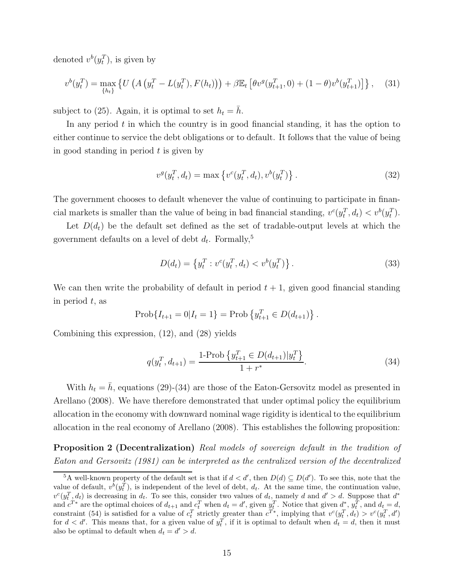denoted  $v^b(y_t^T)$ , is given by

$$
v^{b}(y_{t}^{T}) = \max_{\{h_{t}\}} \left\{ U\left(A\left(y_{t}^{T} - L(y_{t}^{T}), F(h_{t})\right)\right) + \beta \mathbb{E}_{t}\left[\theta v^{g}(y_{t+1}^{T}, 0) + (1-\theta)v^{b}(y_{t+1}^{T})\right] \right\}, \quad (31)
$$

subject to (25). Again, it is optimal to set  $h_t = h$ .

In any period  $t$  in which the country is in good financial standing, it has the option to either continue to service the debt obligations or to default. It follows that the value of being in good standing in period  $t$  is given by

$$
v^{g}(y_{t}^{T}, d_{t}) = \max \{ v^{c}(y_{t}^{T}, d_{t}), v^{b}(y_{t}^{T}) \}.
$$
\n(32)

The government chooses to default whenever the value of continuing to participate in financial markets is smaller than the value of being in bad financial standing,  $v^c(y_t^T, d_t) < v^b(y_t^T)$ .

Let  $D(d_t)$  be the default set defined as the set of tradable-output levels at which the government defaults on a level of debt  $d_t$ . Formally,<sup>5</sup>

$$
D(d_t) = \left\{ y_t^T : v^c(y_t^T, d_t) < v^b(y_t^T) \right\}.
$$
\n(33)

We can then write the probability of default in period  $t + 1$ , given good financial standing in period  $t$ , as

$$
Prob{I_{t+1} = 0 | I_t = 1} = Prob {y_{t+1}^T \in D(d_{t+1})}.
$$

Combining this expression, (12), and (28) yields

$$
q(y_t^T, d_{t+1}) = \frac{1 - \text{Prob}\left\{y_{t+1}^T \in D(d_{t+1})|y_t^T\right\}}{1 + r^*}.
$$
\n(34)

With  $h_t = \overline{h}$ , equations (29)-(34) are those of the Eaton-Gersovitz model as presented in Arellano (2008). We have therefore demonstrated that under optimal policy the equilibrium allocation in the economy with downward nominal wage rigidity is identical to the equilibrium allocation in the real economy of Arellano (2008). This establishes the following proposition:

Proposition 2 (Decentralization) Real models of sovereign default in the tradition of Eaton and Gersovitz (1981) can be interpreted as the centralized version of the decentralized

<sup>&</sup>lt;sup>5</sup>A well-known property of the default set is that if  $d < d'$ , then  $D(d) \subseteq D(d')$ . To see this, note that the value of default,  $v^{\tilde{b}}(y_t^{\tilde{T}})$ , is independent of the level of debt,  $d_t$ . At the same time, the continuation value,  $v^c(y_t^T, d_t)$  is decreasing in  $d_t$ . To see this, consider two values of  $d_t$ , namely d and  $d' > d$ . Suppose that  $d^*$ and  $c^{T*}$  are the optimal choices of  $d_{t+1}$  and  $c_t^T$  when  $d_t = d'$ , given  $y_t^T$ . Notice that given  $d^*, y_t^T$ , and  $d_t = d$ , constraint (54) is satisfied for a value of  $c_t^T$  strictly greater than  $c^{T*}$ , implying that  $v^c(y_t^T, d_t) > v^c(y_t^T, d')$ for  $d < d'$ . This means that, for a given value of  $y_t^T$ , if it is optimal to default when  $d_t = d$ , then it must also be optimal to default when  $d_t = d' > d$ .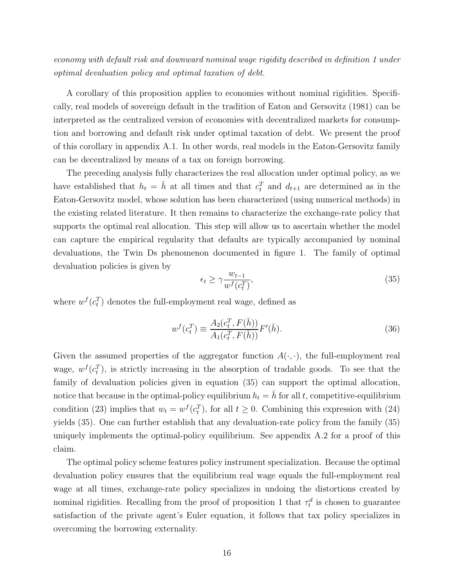economy with default risk and downward nominal wage rigidity described in definition 1 under optimal devaluation policy and optimal taxation of debt.

A corollary of this proposition applies to economies without nominal rigidities. Specifically, real models of sovereign default in the tradition of Eaton and Gersovitz (1981) can be interpreted as the centralized version of economies with decentralized markets for consumption and borrowing and default risk under optimal taxation of debt. We present the proof of this corollary in appendix A.1. In other words, real models in the Eaton-Gersovitz family can be decentralized by means of a tax on foreign borrowing.

The preceding analysis fully characterizes the real allocation under optimal policy, as we have established that  $h_t = \bar{h}$  at all times and that  $c_t^T$  and  $d_{t+1}$  are determined as in the Eaton-Gersovitz model, whose solution has been characterized (using numerical methods) in the existing related literature. It then remains to characterize the exchange-rate policy that supports the optimal real allocation. This step will allow us to ascertain whether the model can capture the empirical regularity that defaults are typically accompanied by nominal devaluations, the Twin Ds phenomenon documented in figure 1. The family of optimal devaluation policies is given by

$$
\epsilon_t \ge \gamma \frac{w_{t-1}}{w^f(c_t^T)},\tag{35}
$$

where  $w^f(c_t^T)$  denotes the full-employment real wage, defined as

$$
w^f(c_t^T) \equiv \frac{A_2(c_t^T, F(\bar{h}))}{A_1(c_t^T, F(\bar{h}))} F'(\bar{h}).
$$
\n(36)

Given the assumed properties of the aggregator function  $A(\cdot, \cdot)$ , the full-employment real wage,  $w^f(c_i^T)$ , is strictly increasing in the absorption of tradable goods. To see that the family of devaluation policies given in equation (35) can support the optimal allocation, notice that because in the optimal-policy equilibrium  $h_t = \bar{h}$  for all t, competitive-equilibrium condition (23) implies that  $w_t = w^f(c_t^T)$ , for all  $t \ge 0$ . Combining this expression with (24) yields (35). One can further establish that any devaluation-rate policy from the family (35) uniquely implements the optimal-policy equilibrium. See appendix A.2 for a proof of this claim.

The optimal policy scheme features policy instrument specialization. Because the optimal devaluation policy ensures that the equilibrium real wage equals the full-employment real wage at all times, exchange-rate policy specializes in undoing the distortions created by nominal rigidities. Recalling from the proof of proposition 1 that  $\tau_t^d$  is chosen to guarantee satisfaction of the private agent's Euler equation, it follows that tax policy specializes in overcoming the borrowing externality.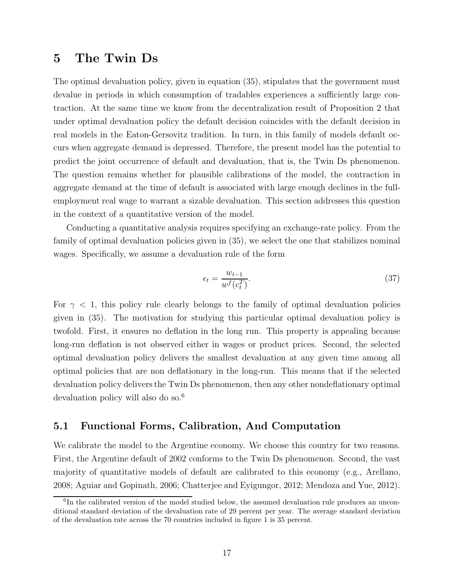# 5 The Twin Ds

The optimal devaluation policy, given in equation (35), stipulates that the government must devalue in periods in which consumption of tradables experiences a sufficiently large contraction. At the same time we know from the decentralization result of Proposition 2 that under optimal devaluation policy the default decision coincides with the default decision in real models in the Eaton-Gersovitz tradition. In turn, in this family of models default occurs when aggregate demand is depressed. Therefore, the present model has the potential to predict the joint occurrence of default and devaluation, that is, the Twin Ds phenomenon. The question remains whether for plausible calibrations of the model, the contraction in aggregate demand at the time of default is associated with large enough declines in the fullemployment real wage to warrant a sizable devaluation. This section addresses this question in the context of a quantitative version of the model.

Conducting a quantitative analysis requires specifying an exchange-rate policy. From the family of optimal devaluation policies given in (35), we select the one that stabilizes nominal wages. Specifically, we assume a devaluation rule of the form

$$
\epsilon_t = \frac{w_{t-1}}{w^f(c_t^T)}.\tag{37}
$$

For  $\gamma$  < 1, this policy rule clearly belongs to the family of optimal devaluation policies given in (35). The motivation for studying this particular optimal devaluation policy is twofold. First, it ensures no deflation in the long run. This property is appealing because long-run deflation is not observed either in wages or product prices. Second, the selected optimal devaluation policy delivers the smallest devaluation at any given time among all optimal policies that are non deflationary in the long-run. This means that if the selected devaluation policy delivers the Twin Ds phenomenon, then any other nondeflationary optimal devaluation policy will also do so.<sup>6</sup>

## 5.1 Functional Forms, Calibration, And Computation

We calibrate the model to the Argentine economy. We choose this country for two reasons. First, the Argentine default of 2002 conforms to the Twin Ds phenomenon. Second, the vast majority of quantitative models of default are calibrated to this economy (e.g., Arellano, 2008; Aguiar and Gopinath, 2006; Chatterjee and Eyigungor, 2012; Mendoza and Yue, 2012).

<sup>&</sup>lt;sup>6</sup>In the calibrated version of the model studied below, the assumed devaluation rule produces an unconditional standard deviation of the devaluation rate of 29 percent per year. The average standard deviation of the devaluation rate across the 70 countries included in figure 1 is 35 percent.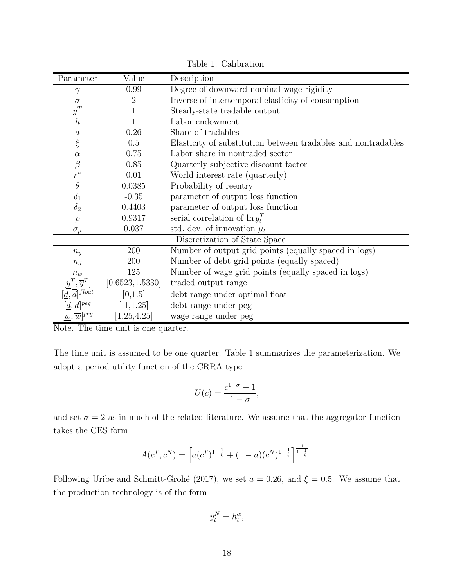| Parameter                             | Value            | Description                                                   |
|---------------------------------------|------------------|---------------------------------------------------------------|
| $\gamma$                              | 0.99             | Degree of downward nominal wage rigidity                      |
| $\sigma$                              | $\overline{2}$   | Inverse of intertemporal elasticity of consumption            |
| $y^T_{\bar{h}}$                       | 1                | Steady-state tradable output                                  |
|                                       |                  | Labor endowment                                               |
| $\boldsymbol{a}$                      | 0.26             | Share of tradables                                            |
| $\xi$                                 | 0.5              | Elasticity of substitution between tradables and nontradables |
| $\alpha$                              | 0.75             | Labor share in nontraded sector                               |
| $\beta$                               | 0.85             | Quarterly subjective discount factor                          |
| $r^*$                                 | 0.01             | World interest rate (quarterly)                               |
| $\theta$                              | 0.0385           | Probability of reentry                                        |
| $\delta_1$                            | $-0.35$          | parameter of output loss function                             |
| $\delta_2$                            | 0.4403           | parameter of output loss function                             |
| $\rho$                                | 0.9317           | serial correlation of $\ln y_t^T$                             |
| $\sigma_\mu$                          | 0.037            | std. dev. of innovation $\mu_t$                               |
|                                       |                  | Discretization of State Space                                 |
| $n_y$                                 | 200              | Number of output grid points (equally spaced in logs)         |
| $n_d$                                 | 200              | Number of debt grid points (equally spaced)                   |
| $n_w$                                 | 125              | Number of wage grid points (equally spaced in logs)           |
| $[y^T, \overline{y}^T]$               | [0.6523, 1.5330] | traded output range                                           |
| $(\underline{d},d]^{float}$           | [0,1.5]          | debt range under optimal float                                |
| $\lbrack d, d \rbrack^{peg}$          | $[-1, 1.25]$     | debt range under peg                                          |
| $[\underline{w}, \overline{w}]^{peg}$ | [1.25, 4.25]     | wage range under peg                                          |

Table 1: Calibration

Note. The time unit is one quarter.

The time unit is assumed to be one quarter. Table 1 summarizes the parameterization. We adopt a period utility function of the CRRA type

$$
U(c) = \frac{c^{1-\sigma} - 1}{1 - \sigma},
$$

and set  $\sigma = 2$  as in much of the related literature. We assume that the aggregator function takes the CES form

$$
A(c^T, c^N) = \left[ a(c^T)^{1-\frac{1}{\xi}} + (1-a)(c^N)^{1-\frac{1}{\xi}} \right]^{\frac{1}{1-\frac{1}{\xi}}}.
$$

Following Uribe and Schmitt-Grohé (2017), we set  $a = 0.26$ , and  $\xi = 0.5$ . We assume that the production technology is of the form

$$
y_t^N = h_t^\alpha,
$$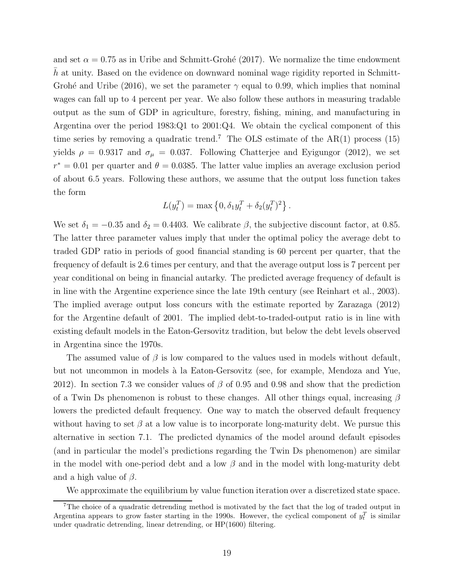and set  $\alpha = 0.75$  as in Uribe and Schmitt-Grohé (2017). We normalize the time endowment  $h$  at unity. Based on the evidence on downward nominal wage rigidity reported in Schmitt-Grohé and Uribe (2016), we set the parameter  $\gamma$  equal to 0.99, which implies that nominal wages can fall up to 4 percent per year. We also follow these authors in measuring tradable output as the sum of GDP in agriculture, forestry, fishing, mining, and manufacturing in Argentina over the period 1983:Q1 to 2001:Q4. We obtain the cyclical component of this time series by removing a quadratic trend.<sup>7</sup> The OLS estimate of the  $AR(1)$  process (15) yields  $\rho = 0.9317$  and  $\sigma_{\mu} = 0.037$ . Following Chatterjee and Eyigungor (2012), we set  $r^* = 0.01$  per quarter and  $\theta = 0.0385$ . The latter value implies an average exclusion period of about 6.5 years. Following these authors, we assume that the output loss function takes the form

$$
L(y_t^T) = \max\left\{0, \delta_1 y_t^T + \delta_2(y_t^T)^2\right\}.
$$

We set  $\delta_1 = -0.35$  and  $\delta_2 = 0.4403$ . We calibrate  $\beta$ , the subjective discount factor, at 0.85. The latter three parameter values imply that under the optimal policy the average debt to traded GDP ratio in periods of good financial standing is 60 percent per quarter, that the frequency of default is 2.6 times per century, and that the average output loss is 7 percent per year conditional on being in financial autarky. The predicted average frequency of default is in line with the Argentine experience since the late 19th century (see Reinhart et al., 2003). The implied average output loss concurs with the estimate reported by Zarazaga (2012) for the Argentine default of 2001. The implied debt-to-traded-output ratio is in line with existing default models in the Eaton-Gersovitz tradition, but below the debt levels observed in Argentina since the 1970s.

The assumed value of  $\beta$  is low compared to the values used in models without default, but not uncommon in models `a la Eaton-Gersovitz (see, for example, Mendoza and Yue, 2012). In section 7.3 we consider values of  $\beta$  of 0.95 and 0.98 and show that the prediction of a Twin Ds phenomenon is robust to these changes. All other things equal, increasing  $\beta$ lowers the predicted default frequency. One way to match the observed default frequency without having to set  $\beta$  at a low value is to incorporate long-maturity debt. We pursue this alternative in section 7.1. The predicted dynamics of the model around default episodes (and in particular the model's predictions regarding the Twin Ds phenomenon) are similar in the model with one-period debt and a low  $\beta$  and in the model with long-maturity debt and a high value of  $\beta$ .

We approximate the equilibrium by value function iteration over a discretized state space.

<sup>7</sup>The choice of a quadratic detrending method is motivated by the fact that the log of traded output in Argentina appears to grow faster starting in the 1990s. However, the cyclical component of  $y_t^T$  is similar under quadratic detrending, linear detrending, or HP(1600) filtering.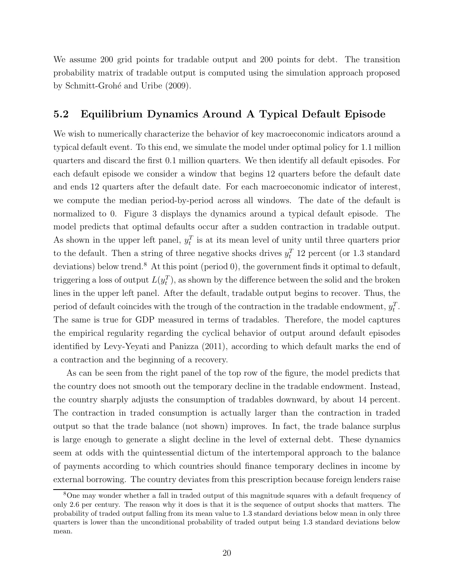We assume 200 grid points for tradable output and 200 points for debt. The transition probability matrix of tradable output is computed using the simulation approach proposed by Schmitt-Grohé and Uribe (2009).

## 5.2 Equilibrium Dynamics Around A Typical Default Episode

We wish to numerically characterize the behavior of key macroeconomic indicators around a typical default event. To this end, we simulate the model under optimal policy for 1.1 million quarters and discard the first 0.1 million quarters. We then identify all default episodes. For each default episode we consider a window that begins 12 quarters before the default date and ends 12 quarters after the default date. For each macroeconomic indicator of interest, we compute the median period-by-period across all windows. The date of the default is normalized to 0. Figure 3 displays the dynamics around a typical default episode. The model predicts that optimal defaults occur after a sudden contraction in tradable output. As shown in the upper left panel,  $y_t^T$  is at its mean level of unity until three quarters prior to the default. Then a string of three negative shocks drives  $y_t^T$  12 percent (or 1.3 standard deviations) below trend.<sup>8</sup> At this point (period 0), the government finds it optimal to default, triggering a loss of output  $L(y_t^T)$ , as shown by the difference between the solid and the broken lines in the upper left panel. After the default, tradable output begins to recover. Thus, the period of default coincides with the trough of the contraction in the tradable endowment,  $y_t^T$ . The same is true for GDP measured in terms of tradables. Therefore, the model captures the empirical regularity regarding the cyclical behavior of output around default episodes identified by Levy-Yeyati and Panizza (2011), according to which default marks the end of a contraction and the beginning of a recovery.

As can be seen from the right panel of the top row of the figure, the model predicts that the country does not smooth out the temporary decline in the tradable endowment. Instead, the country sharply adjusts the consumption of tradables downward, by about 14 percent. The contraction in traded consumption is actually larger than the contraction in traded output so that the trade balance (not shown) improves. In fact, the trade balance surplus is large enough to generate a slight decline in the level of external debt. These dynamics seem at odds with the quintessential dictum of the intertemporal approach to the balance of payments according to which countries should finance temporary declines in income by external borrowing. The country deviates from this prescription because foreign lenders raise

<sup>8</sup>One may wonder whether a fall in traded output of this magnitude squares with a default frequency of only 2.6 per century. The reason why it does is that it is the sequence of output shocks that matters. The probability of traded output falling from its mean value to 1.3 standard deviations below mean in only three quarters is lower than the unconditional probability of traded output being 1.3 standard deviations below mean.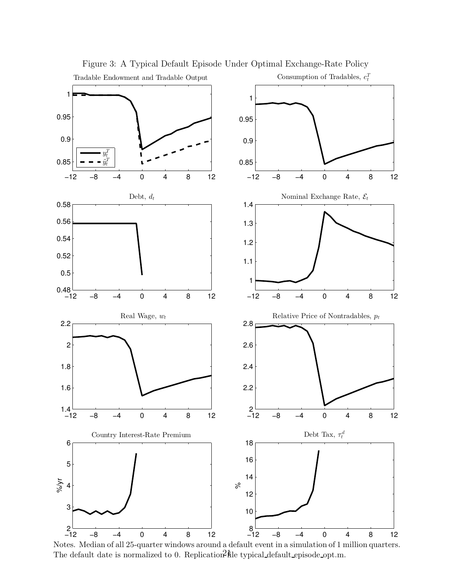

Figure 3: A Typical Default Episode Under Optimal Exchange-Rate Policy

Notes. Median of all 25-quarter windows around a default event in a simulation of 1 million quarters. The default date is normalized to 0. Replication  $\hat{f}$  file typical default episode opt.m.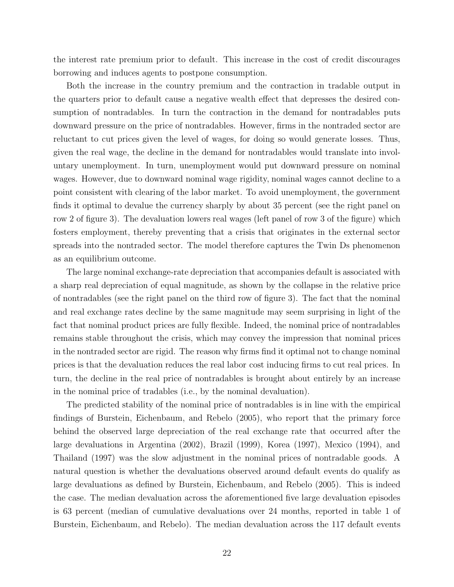the interest rate premium prior to default. This increase in the cost of credit discourages borrowing and induces agents to postpone consumption.

Both the increase in the country premium and the contraction in tradable output in the quarters prior to default cause a negative wealth effect that depresses the desired consumption of nontradables. In turn the contraction in the demand for nontradables puts downward pressure on the price of nontradables. However, firms in the nontraded sector are reluctant to cut prices given the level of wages, for doing so would generate losses. Thus, given the real wage, the decline in the demand for nontradables would translate into involuntary unemployment. In turn, unemployment would put downward pressure on nominal wages. However, due to downward nominal wage rigidity, nominal wages cannot decline to a point consistent with clearing of the labor market. To avoid unemployment, the government finds it optimal to devalue the currency sharply by about 35 percent (see the right panel on row 2 of figure 3). The devaluation lowers real wages (left panel of row 3 of the figure) which fosters employment, thereby preventing that a crisis that originates in the external sector spreads into the nontraded sector. The model therefore captures the Twin Ds phenomenon as an equilibrium outcome.

The large nominal exchange-rate depreciation that accompanies default is associated with a sharp real depreciation of equal magnitude, as shown by the collapse in the relative price of nontradables (see the right panel on the third row of figure 3). The fact that the nominal and real exchange rates decline by the same magnitude may seem surprising in light of the fact that nominal product prices are fully flexible. Indeed, the nominal price of nontradables remains stable throughout the crisis, which may convey the impression that nominal prices in the nontraded sector are rigid. The reason why firms find it optimal not to change nominal prices is that the devaluation reduces the real labor cost inducing firms to cut real prices. In turn, the decline in the real price of nontradables is brought about entirely by an increase in the nominal price of tradables (i.e., by the nominal devaluation).

The predicted stability of the nominal price of nontradables is in line with the empirical findings of Burstein, Eichenbaum, and Rebelo (2005), who report that the primary force behind the observed large depreciation of the real exchange rate that occurred after the large devaluations in Argentina (2002), Brazil (1999), Korea (1997), Mexico (1994), and Thailand (1997) was the slow adjustment in the nominal prices of nontradable goods. A natural question is whether the devaluations observed around default events do qualify as large devaluations as defined by Burstein, Eichenbaum, and Rebelo (2005). This is indeed the case. The median devaluation across the aforementioned five large devaluation episodes is 63 percent (median of cumulative devaluations over 24 months, reported in table 1 of Burstein, Eichenbaum, and Rebelo). The median devaluation across the 117 default events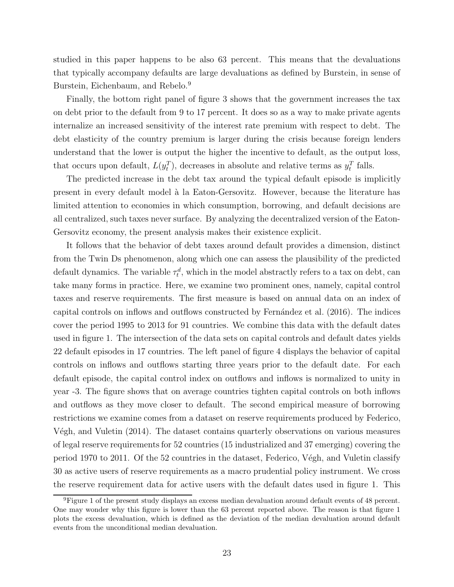studied in this paper happens to be also 63 percent. This means that the devaluations that typically accompany defaults are large devaluations as defined by Burstein, in sense of Burstein, Eichenbaum, and Rebelo.<sup>9</sup>

Finally, the bottom right panel of figure 3 shows that the government increases the tax on debt prior to the default from 9 to 17 percent. It does so as a way to make private agents internalize an increased sensitivity of the interest rate premium with respect to debt. The debt elasticity of the country premium is larger during the crisis because foreign lenders understand that the lower is output the higher the incentive to default, as the output loss, that occurs upon default,  $L(y_t^T)$ , decreases in absolute and relative terms as  $y_t^T$  falls.

The predicted increase in the debt tax around the typical default episode is implicitly present in every default model `a la Eaton-Gersovitz. However, because the literature has limited attention to economies in which consumption, borrowing, and default decisions are all centralized, such taxes never surface. By analyzing the decentralized version of the Eaton-Gersovitz economy, the present analysis makes their existence explicit.

It follows that the behavior of debt taxes around default provides a dimension, distinct from the Twin Ds phenomenon, along which one can assess the plausibility of the predicted default dynamics. The variable  $\tau_t^d$ , which in the model abstractly refers to a tax on debt, can take many forms in practice. Here, we examine two prominent ones, namely, capital control taxes and reserve requirements. The first measure is based on annual data on an index of capital controls on inflows and outflows constructed by Fernandez et al. (2016). The indices cover the period 1995 to 2013 for 91 countries. We combine this data with the default dates used in figure 1. The intersection of the data sets on capital controls and default dates yields 22 default episodes in 17 countries. The left panel of figure 4 displays the behavior of capital controls on inflows and outflows starting three years prior to the default date. For each default episode, the capital control index on outflows and inflows is normalized to unity in year -3. The figure shows that on average countries tighten capital controls on both inflows and outflows as they move closer to default. The second empirical measure of borrowing restrictions we examine comes from a dataset on reserve requirements produced by Federico, Végh, and Vuletin (2014). The dataset contains quarterly observations on various measures of legal reserve requirements for 52 countries (15 industrialized and 37 emerging) covering the period 1970 to 2011. Of the 52 countries in the dataset, Federico, Végh, and Vuletin classify 30 as active users of reserve requirements as a macro prudential policy instrument. We cross the reserve requirement data for active users with the default dates used in figure 1. This

<sup>9</sup>Figure 1 of the present study displays an excess median devaluation around default events of 48 percent. One may wonder why this figure is lower than the 63 percent reported above. The reason is that figure 1 plots the excess devaluation, which is defined as the deviation of the median devaluation around default events from the unconditional median devaluation.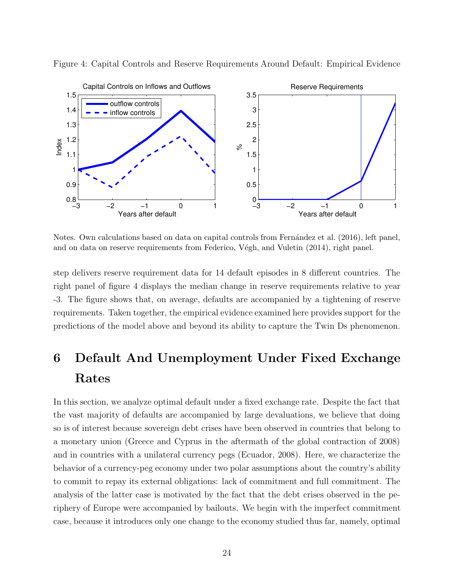

Figure 4: Capital Controls and Reserve Requirements Around Default: Empirical Evidence

Notes. Own calculations based on data on capital controls from Fernández et al. (2016), left panel, and on data on reserve requirements from Federico, Végh, and Vuletin (2014), right panel.

step delivers reserve requirement data for 14 default episodes in 8 different countries. The right panel of figure 4 displays the median change in reserve requirements relative to year -3. The figure shows that, on average, defaults are accompanied by a tightening of reserve requirements. Taken together, the empirical evidence examined here provides support for the predictions of the model above and beyond its ability to capture the Twin Ds phenomenon.

# 6 Default And Unemployment Under Fixed Exchange Rates

In this section, we analyze optimal default under a fixed exchange rate. Despite the fact that the vast majority of defaults are accompanied by large devaluations, we believe that doing so is of interest because sovereign debt crises have been observed in countries that belong to a monetary union (Greece and Cyprus in the aftermath of the global contraction of 2008) and in countries with a unilateral currency pegs (Ecuador, 2008). Here, we characterize the behavior of a currency-peg economy under two polar assumptions about the country's ability to commit to repay its external obligations: lack of commitment and full commitment. The analysis of the latter case is motivated by the fact that the debt crises observed in the periphery of Europe were accompanied by bailouts. We begin with the imperfect commitment case, because it introduces only one change to the economy studied thus far, namely, optimal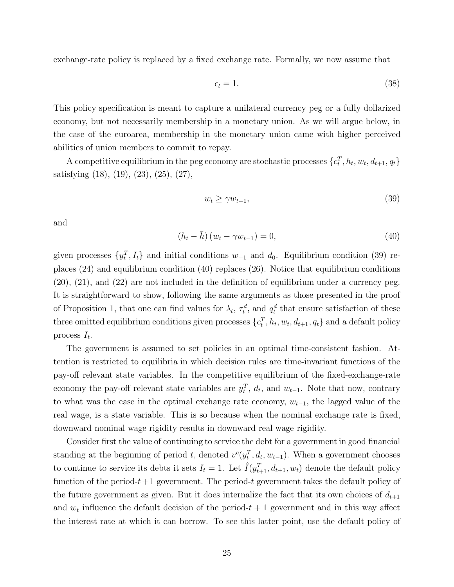exchange-rate policy is replaced by a fixed exchange rate. Formally, we now assume that

$$
\epsilon_t = 1. \tag{38}
$$

This policy specification is meant to capture a unilateral currency peg or a fully dollarized economy, but not necessarily membership in a monetary union. As we will argue below, in the case of the euroarea, membership in the monetary union came with higher perceived abilities of union members to commit to repay.

A competitive equilibrium in the peg economy are stochastic processes  $\{c_t^T, h_t, w_t, d_{t+1}, q_t\}$ satisfying (18), (19), (23), (25), (27),

$$
w_t \ge \gamma w_{t-1},\tag{39}
$$

and

$$
(h_t - \bar{h}) (w_t - \gamma w_{t-1}) = 0,
$$
\n(40)

given processes  $\{y_t^T, I_t\}$  and initial conditions  $w_{-1}$  and  $d_0$ . Equilibrium condition (39) replaces (24) and equilibrium condition (40) replaces (26). Notice that equilibrium conditions (20), (21), and (22) are not included in the definition of equilibrium under a currency peg. It is straightforward to show, following the same arguments as those presented in the proof of Proposition 1, that one can find values for  $\lambda_t$ ,  $\tau_t^d$ , and  $q_t^d$  that ensure satisfaction of these three omitted equilibrium conditions given processes  $\{c_t^T, h_t, w_t, d_{t+1}, q_t\}$  and a default policy process  $I_t$ .

The government is assumed to set policies in an optimal time-consistent fashion. Attention is restricted to equilibria in which decision rules are time-invariant functions of the pay-off relevant state variables. In the competitive equilibrium of the fixed-exchange-rate economy the pay-off relevant state variables are  $y_t^T$ ,  $d_t$ , and  $w_{t-1}$ . Note that now, contrary to what was the case in the optimal exchange rate economy,  $w_{t-1}$ , the lagged value of the real wage, is a state variable. This is so because when the nominal exchange rate is fixed, downward nominal wage rigidity results in downward real wage rigidity.

Consider first the value of continuing to service the debt for a government in good financial standing at the beginning of period t, denoted  $v^c(y_t^T, d_t, w_{t-1})$ . When a government chooses to continue to service its debts it sets  $I_t = 1$ . Let  $\hat{I}(y_{t+1}^T, d_{t+1}, w_t)$  denote the default policy function of the period- $t+1$  government. The period-t government takes the default policy of the future government as given. But it does internalize the fact that its own choices of  $d_{t+1}$ and  $w_t$  influence the default decision of the period- $t + 1$  government and in this way affect the interest rate at which it can borrow. To see this latter point, use the default policy of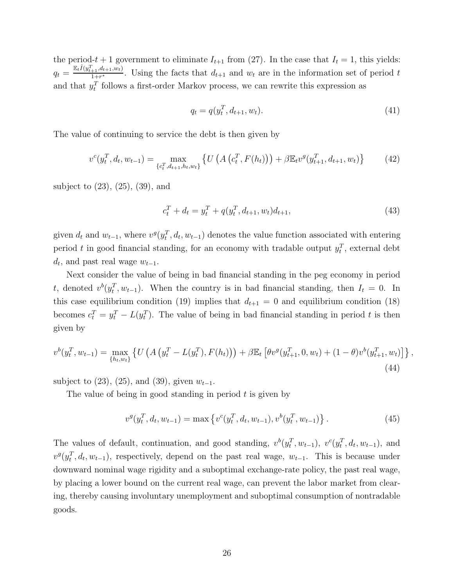the period-t + 1 government to eliminate  $I_{t+1}$  from (27). In the case that  $I_t = 1$ , this yields:  $q_t = \frac{\mathbb{E}_t \hat{I}(y_{t+1}^T, d_{t+1}, w_t)}{1+r^*}$  $\frac{1}{1+r^*}$ . Using the facts that  $d_{t+1}$  and  $w_t$  are in the information set of period t and that  $y_t^T$  follows a first-order Markov process, we can rewrite this expression as

$$
q_t = q(y_t^T, d_{t+1}, w_t).
$$
\n(41)

The value of continuing to service the debt is then given by

$$
v^{c}(y_{t}^{T}, d_{t}, w_{t-1}) = \max_{\{c_{t}^{T}, d_{t+1}, h_{t}, w_{t}\}} \left\{ U\left(A\left(c_{t}^{T}, F(h_{t})\right)\right) + \beta \mathbb{E}_{t} v^{g}(y_{t+1}^{T}, d_{t+1}, w_{t}) \right\}
$$
(42)

subject to (23), (25), (39), and

$$
c_t^T + d_t = y_t^T + q(y_t^T, d_{t+1}, w_t) d_{t+1},
$$
\n(43)

given  $d_t$  and  $w_{t-1}$ , where  $v^g(y_t^T, d_t, w_{t-1})$  denotes the value function associated with entering period t in good financial standing, for an economy with tradable output  $y_t^T$ , external debt  $d_t$ , and past real wage  $w_{t-1}$ .

Next consider the value of being in bad financial standing in the peg economy in period t, denoted  $v^b(y_t^T, w_{t-1})$ . When the country is in bad financial standing, then  $I_t = 0$ . In this case equilibrium condition (19) implies that  $d_{t+1} = 0$  and equilibrium condition (18) becomes  $c_t^T = y_t^T - L(y_t^T)$ . The value of being in bad financial standing in period t is then given by

$$
v^{b}(y_{t}^{T}, w_{t-1}) = \max_{\{h_{t}, w_{t}\}} \left\{ U\left(A\left(y_{t}^{T} - L(y_{t}^{T}), F(h_{t})\right)\right) + \beta \mathbb{E}_{t}\left[\theta v^{g}(y_{t+1}^{T}, 0, w_{t}) + (1 - \theta)v^{b}(y_{t+1}^{T}, w_{t})\right] \right\},
$$
\n(44)

subject to  $(23)$ ,  $(25)$ , and  $(39)$ , given  $w_{t-1}$ .

The value of being in good standing in period  $t$  is given by

$$
v^{g}(y_{t}^{T}, d_{t}, w_{t-1}) = \max \left\{ v^{c}(y_{t}^{T}, d_{t}, w_{t-1}), v^{b}(y_{t}^{T}, w_{t-1}) \right\}. \tag{45}
$$

The values of default, continuation, and good standing,  $v^b(y_t^T, w_{t-1})$ ,  $v^c(y_t^T, d_t, w_{t-1})$ , and  $v^g(y_t^T, d_t, w_{t-1})$ , respectively, depend on the past real wage,  $w_{t-1}$ . This is because under downward nominal wage rigidity and a suboptimal exchange-rate policy, the past real wage, by placing a lower bound on the current real wage, can prevent the labor market from clearing, thereby causing involuntary unemployment and suboptimal consumption of nontradable goods.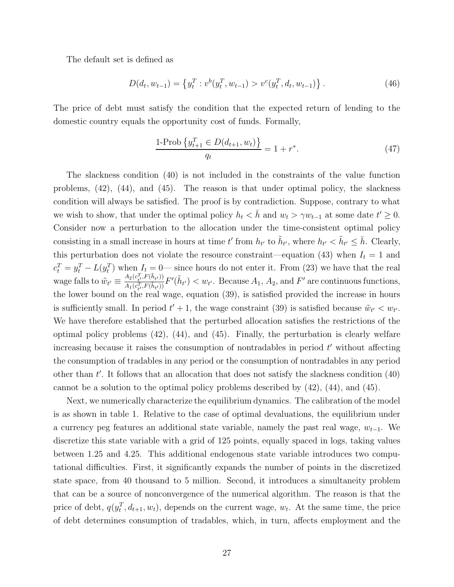The default set is defined as

$$
D(d_t, w_{t-1}) = \left\{ y_t^T : v^b(y_t^T, w_{t-1}) > v^c(y_t^T, d_t, w_{t-1}) \right\}.
$$
 (46)

The price of debt must satisfy the condition that the expected return of lending to the domestic country equals the opportunity cost of funds. Formally,

$$
\frac{1 - \text{Prob}\left\{y_{t+1}^T \in D(d_{t+1}, w_t)\right\}}{q_t} = 1 + r^*.
$$
\n(47)

The slackness condition (40) is not included in the constraints of the value function problems, (42), (44), and (45). The reason is that under optimal policy, the slackness condition will always be satisfied. The proof is by contradiction. Suppose, contrary to what we wish to show, that under the optimal policy  $h_t < \bar{h}$  and  $w_t > \gamma w_{t-1}$  at some date  $t' \geq 0$ . Consider now a perturbation to the allocation under the time-consistent optimal policy consisting in a small increase in hours at time t' from  $h_{t'}$  to  $\tilde{h}_{t'}$ , where  $h_{t'} < \tilde{h}_{t'} \leq \bar{h}$ . Clearly, this perturbation does not violate the resource constraint—equation (43) when  $I_t = 1$  and  $c_t^T = y_t^T - L(y_t^T)$  when  $I_t = 0$ — since hours do not enter it. From (23) we have that the real wage falls to  $\tilde{w}_t \equiv \frac{A_2(c_{t'}^T, F(\tilde{h}_{t'}))}{4 \pi (c_{t'}^T, F(\tilde{h}_{t'}))}$  $\frac{A_2(c_{t'}^t, F(h_{t'}))}{A_1(c_{t'}^T, F(h_{t'}))}F'(\tilde{h}_{t'}) < w_{t'}$ . Because  $A_1, A_2$ , and  $F'$  are continuous functions, the lower bound on the real wage, equation (39), is satisfied provided the increase in hours is sufficiently small. In period  $t' + 1$ , the wage constraint (39) is satisfied because  $\tilde{w}_{t'} < w_{t'}$ . We have therefore established that the perturbed allocation satisfies the restrictions of the optimal policy problems  $(42)$ ,  $(44)$ , and  $(45)$ . Finally, the perturbation is clearly welfare increasing because it raises the consumption of nontradables in period  $t'$  without affecting the consumption of tradables in any period or the consumption of nontradables in any period other than  $t'$ . It follows that an allocation that does not satisfy the slackness condition  $(40)$ cannot be a solution to the optimal policy problems described by  $(42)$ ,  $(44)$ , and  $(45)$ .

Next, we numerically characterize the equilibrium dynamics. The calibration of the model is as shown in table 1. Relative to the case of optimal devaluations, the equilibrium under a currency peg features an additional state variable, namely the past real wage,  $w_{t-1}$ . We discretize this state variable with a grid of 125 points, equally spaced in logs, taking values between 1.25 and 4.25. This additional endogenous state variable introduces two computational difficulties. First, it significantly expands the number of points in the discretized state space, from 40 thousand to 5 million. Second, it introduces a simultaneity problem that can be a source of nonconvergence of the numerical algorithm. The reason is that the price of debt,  $q(y_t^T, d_{t+1}, w_t)$ , depends on the current wage,  $w_t$ . At the same time, the price of debt determines consumption of tradables, which, in turn, affects employment and the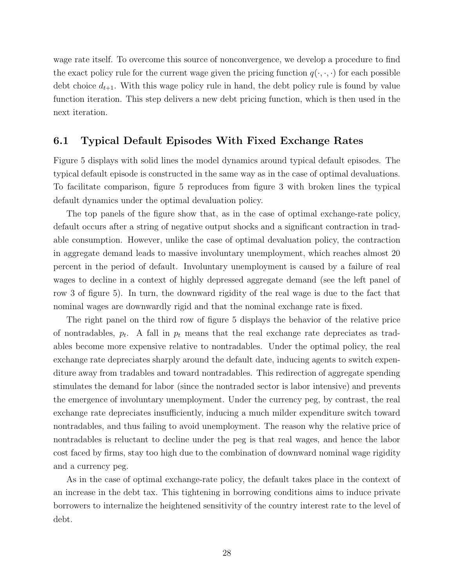wage rate itself. To overcome this source of nonconvergence, we develop a procedure to find the exact policy rule for the current wage given the pricing function  $q(\cdot, \cdot, \cdot)$  for each possible debt choice  $d_{t+1}$ . With this wage policy rule in hand, the debt policy rule is found by value function iteration. This step delivers a new debt pricing function, which is then used in the next iteration.

## 6.1 Typical Default Episodes With Fixed Exchange Rates

Figure 5 displays with solid lines the model dynamics around typical default episodes. The typical default episode is constructed in the same way as in the case of optimal devaluations. To facilitate comparison, figure 5 reproduces from figure 3 with broken lines the typical default dynamics under the optimal devaluation policy.

The top panels of the figure show that, as in the case of optimal exchange-rate policy, default occurs after a string of negative output shocks and a significant contraction in tradable consumption. However, unlike the case of optimal devaluation policy, the contraction in aggregate demand leads to massive involuntary unemployment, which reaches almost 20 percent in the period of default. Involuntary unemployment is caused by a failure of real wages to decline in a context of highly depressed aggregate demand (see the left panel of row 3 of figure 5). In turn, the downward rigidity of the real wage is due to the fact that nominal wages are downwardly rigid and that the nominal exchange rate is fixed.

The right panel on the third row of figure 5 displays the behavior of the relative price of nontradables,  $p_t$ . A fall in  $p_t$  means that the real exchange rate depreciates as tradables become more expensive relative to nontradables. Under the optimal policy, the real exchange rate depreciates sharply around the default date, inducing agents to switch expenditure away from tradables and toward nontradables. This redirection of aggregate spending stimulates the demand for labor (since the nontraded sector is labor intensive) and prevents the emergence of involuntary unemployment. Under the currency peg, by contrast, the real exchange rate depreciates insufficiently, inducing a much milder expenditure switch toward nontradables, and thus failing to avoid unemployment. The reason why the relative price of nontradables is reluctant to decline under the peg is that real wages, and hence the labor cost faced by firms, stay too high due to the combination of downward nominal wage rigidity and a currency peg.

As in the case of optimal exchange-rate policy, the default takes place in the context of an increase in the debt tax. This tightening in borrowing conditions aims to induce private borrowers to internalize the heightened sensitivity of the country interest rate to the level of debt.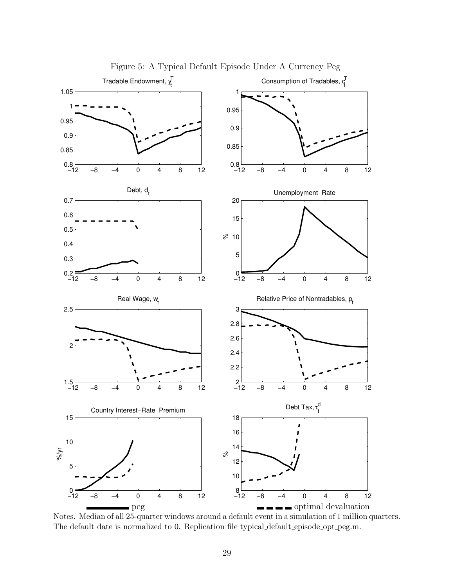

Figure 5: A Typical Default Episode Under A Currency Peg

Notes. Median of all 25-quarter windows around a default event in a simulation of 1 million quarters. The default date is normalized to 0. Replication file typical default episode opt peg.m.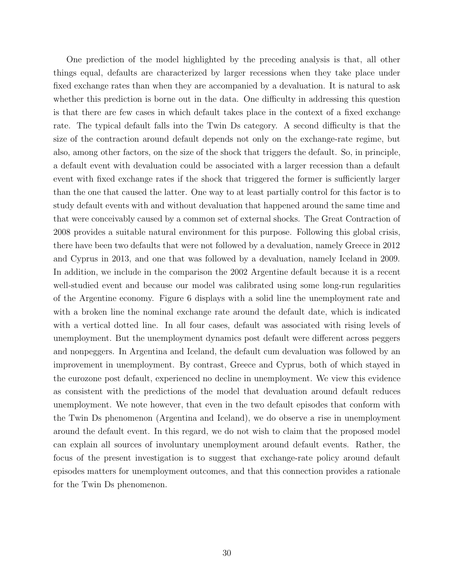One prediction of the model highlighted by the preceding analysis is that, all other things equal, defaults are characterized by larger recessions when they take place under fixed exchange rates than when they are accompanied by a devaluation. It is natural to ask whether this prediction is borne out in the data. One difficulty in addressing this question is that there are few cases in which default takes place in the context of a fixed exchange rate. The typical default falls into the Twin Ds category. A second difficulty is that the size of the contraction around default depends not only on the exchange-rate regime, but also, among other factors, on the size of the shock that triggers the default. So, in principle, a default event with devaluation could be associated with a larger recession than a default event with fixed exchange rates if the shock that triggered the former is sufficiently larger than the one that caused the latter. One way to at least partially control for this factor is to study default events with and without devaluation that happened around the same time and that were conceivably caused by a common set of external shocks. The Great Contraction of 2008 provides a suitable natural environment for this purpose. Following this global crisis, there have been two defaults that were not followed by a devaluation, namely Greece in 2012 and Cyprus in 2013, and one that was followed by a devaluation, namely Iceland in 2009. In addition, we include in the comparison the 2002 Argentine default because it is a recent well-studied event and because our model was calibrated using some long-run regularities of the Argentine economy. Figure 6 displays with a solid line the unemployment rate and with a broken line the nominal exchange rate around the default date, which is indicated with a vertical dotted line. In all four cases, default was associated with rising levels of unemployment. But the unemployment dynamics post default were different across peggers and nonpeggers. In Argentina and Iceland, the default cum devaluation was followed by an improvement in unemployment. By contrast, Greece and Cyprus, both of which stayed in the eurozone post default, experienced no decline in unemployment. We view this evidence as consistent with the predictions of the model that devaluation around default reduces unemployment. We note however, that even in the two default episodes that conform with the Twin Ds phenomenon (Argentina and Iceland), we do observe a rise in unemployment around the default event. In this regard, we do not wish to claim that the proposed model can explain all sources of involuntary unemployment around default events. Rather, the focus of the present investigation is to suggest that exchange-rate policy around default episodes matters for unemployment outcomes, and that this connection provides a rationale for the Twin Ds phenomenon.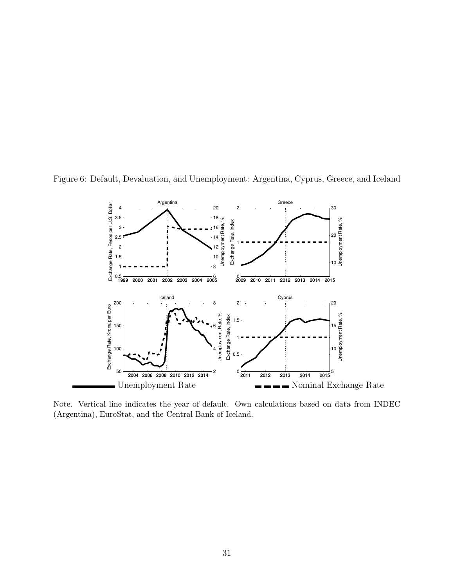

Figure 6: Default, Devaluation, and Unemployment: Argentina, Cyprus, Greece, and Iceland

Note. Vertical line indicates the year of default. Own calculations based on data from INDEC (Argentina), EuroStat, and the Central Bank of Iceland.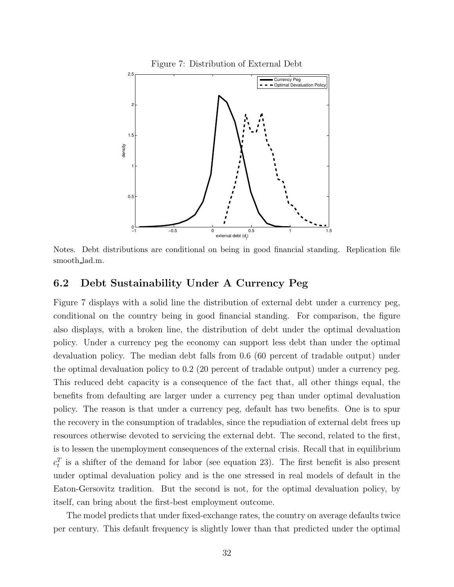Figure 7: Distribution of External Debt



Notes. Debt distributions are conditional on being in good financial standing. Replication file smooth lad.m.

### 6.2 Debt Sustainability Under A Currency Peg

Figure 7 displays with a solid line the distribution of external debt under a currency peg, conditional on the country being in good financial standing. For comparison, the figure also displays, with a broken line, the distribution of debt under the optimal devaluation policy. Under a currency peg the economy can support less debt than under the optimal devaluation policy. The median debt falls from 0.6 (60 percent of tradable output) under the optimal devaluation policy to 0.2 (20 percent of tradable output) under a currency peg. This reduced debt capacity is a consequence of the fact that, all other things equal, the benefits from defaulting are larger under a currency peg than under optimal devaluation policy. The reason is that under a currency peg, default has two benefits. One is to spur the recovery in the consumption of tradables, since the repudiation of external debt frees up resources otherwise devoted to servicing the external debt. The second, related to the first, is to lessen the unemployment consequences of the external crisis. Recall that in equilibrium  $c_t^T$  is a shifter of the demand for labor (see equation 23). The first benefit is also present under optimal devaluation policy and is the one stressed in real models of default in the Eaton-Gersovitz tradition. But the second is not, for the optimal devaluation policy, by itself, can bring about the first-best employment outcome.

The model predicts that under fixed-exchange rates, the country on average defaults twice per century. This default frequency is slightly lower than that predicted under the optimal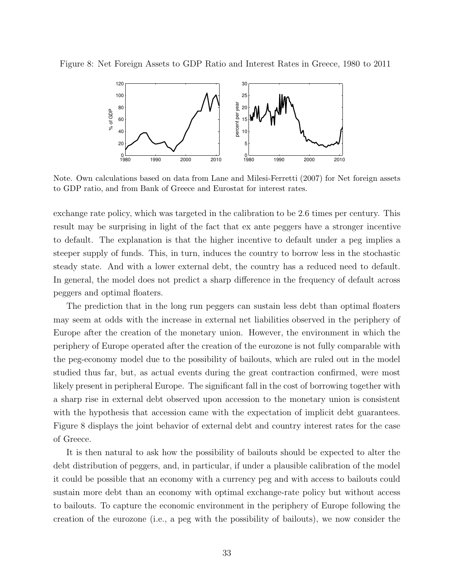



Note. Own calculations based on data from Lane and Milesi-Ferretti (2007) for Net foreign assets to GDP ratio, and from Bank of Greece and Eurostat for interest rates.

exchange rate policy, which was targeted in the calibration to be 2.6 times per century. This result may be surprising in light of the fact that ex ante peggers have a stronger incentive to default. The explanation is that the higher incentive to default under a peg implies a steeper supply of funds. This, in turn, induces the country to borrow less in the stochastic steady state. And with a lower external debt, the country has a reduced need to default. In general, the model does not predict a sharp difference in the frequency of default across peggers and optimal floaters.

The prediction that in the long run peggers can sustain less debt than optimal floaters may seem at odds with the increase in external net liabilities observed in the periphery of Europe after the creation of the monetary union. However, the environment in which the periphery of Europe operated after the creation of the eurozone is not fully comparable with the peg-economy model due to the possibility of bailouts, which are ruled out in the model studied thus far, but, as actual events during the great contraction confirmed, were most likely present in peripheral Europe. The significant fall in the cost of borrowing together with a sharp rise in external debt observed upon accession to the monetary union is consistent with the hypothesis that accession came with the expectation of implicit debt guarantees. Figure 8 displays the joint behavior of external debt and country interest rates for the case of Greece.

It is then natural to ask how the possibility of bailouts should be expected to alter the debt distribution of peggers, and, in particular, if under a plausible calibration of the model it could be possible that an economy with a currency peg and with access to bailouts could sustain more debt than an economy with optimal exchange-rate policy but without access to bailouts. To capture the economic environment in the periphery of Europe following the creation of the eurozone (i.e., a peg with the possibility of bailouts), we now consider the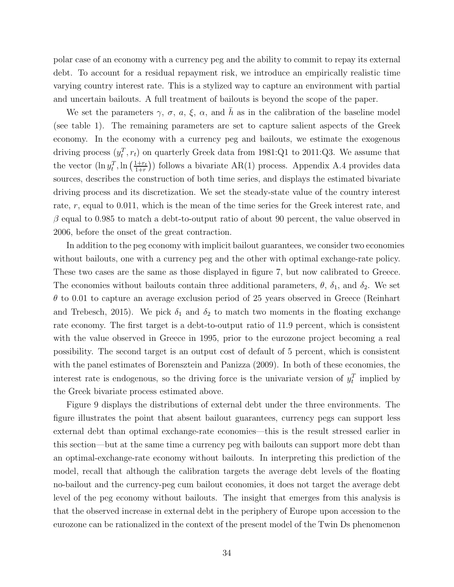polar case of an economy with a currency peg and the ability to commit to repay its external debt. To account for a residual repayment risk, we introduce an empirically realistic time varying country interest rate. This is a stylized way to capture an environment with partial and uncertain bailouts. A full treatment of bailouts is beyond the scope of the paper.

We set the parameters  $\gamma$ ,  $\sigma$ ,  $a$ ,  $\xi$ ,  $\alpha$ , and  $\bar{h}$  as in the calibration of the baseline model (see table 1). The remaining parameters are set to capture salient aspects of the Greek economy. In the economy with a currency peg and bailouts, we estimate the exogenous driving process  $(y_t^T, r_t)$  on quarterly Greek data from 1981:Q1 to 2011:Q3. We assume that the vector  $(\ln y_t^T, \ln \left( \frac{1+r_t}{1+r} \right))$  $\frac{1+r_t}{1+r}$ ) follows a bivariate AR(1) process. Appendix A.4 provides data sources, describes the construction of both time series, and displays the estimated bivariate driving process and its discretization. We set the steady-state value of the country interest rate, r, equal to 0.011, which is the mean of the time series for the Greek interest rate, and  $\beta$  equal to 0.985 to match a debt-to-output ratio of about 90 percent, the value observed in 2006, before the onset of the great contraction.

In addition to the peg economy with implicit bailout guarantees, we consider two economies without bailouts, one with a currency peg and the other with optimal exchange-rate policy. These two cases are the same as those displayed in figure 7, but now calibrated to Greece. The economies without bailouts contain three additional parameters,  $\theta$ ,  $\delta_1$ , and  $\delta_2$ . We set  $\theta$  to 0.01 to capture an average exclusion period of 25 years observed in Greece (Reinhart and Trebesch, 2015). We pick  $\delta_1$  and  $\delta_2$  to match two moments in the floating exchange rate economy. The first target is a debt-to-output ratio of 11.9 percent, which is consistent with the value observed in Greece in 1995, prior to the eurozone project becoming a real possibility. The second target is an output cost of default of 5 percent, which is consistent with the panel estimates of Borensztein and Panizza (2009). In both of these economies, the interest rate is endogenous, so the driving force is the univariate version of  $y_t^T$  implied by the Greek bivariate process estimated above.

Figure 9 displays the distributions of external debt under the three environments. The figure illustrates the point that absent bailout guarantees, currency pegs can support less external debt than optimal exchange-rate economies—this is the result stressed earlier in this section—but at the same time a currency peg with bailouts can support more debt than an optimal-exchange-rate economy without bailouts. In interpreting this prediction of the model, recall that although the calibration targets the average debt levels of the floating no-bailout and the currency-peg cum bailout economies, it does not target the average debt level of the peg economy without bailouts. The insight that emerges from this analysis is that the observed increase in external debt in the periphery of Europe upon accession to the eurozone can be rationalized in the context of the present model of the Twin Ds phenomenon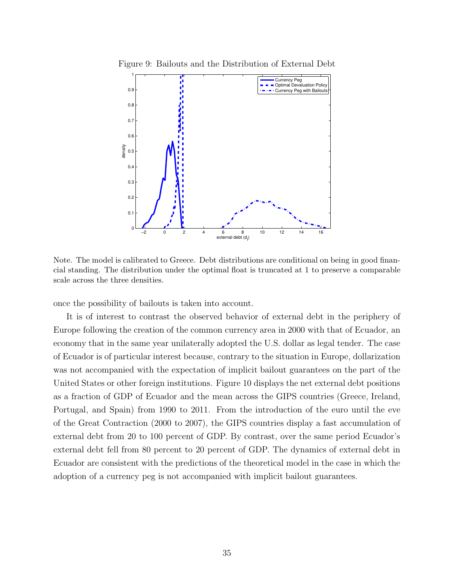

Figure 9: Bailouts and the Distribution of External Debt

Note. The model is calibrated to Greece. Debt distributions are conditional on being in good financial standing. The distribution under the optimal float is truncated at 1 to preserve a comparable scale across the three densities.

once the possibility of bailouts is taken into account.

It is of interest to contrast the observed behavior of external debt in the periphery of Europe following the creation of the common currency area in 2000 with that of Ecuador, an economy that in the same year unilaterally adopted the U.S. dollar as legal tender. The case of Ecuador is of particular interest because, contrary to the situation in Europe, dollarization was not accompanied with the expectation of implicit bailout guarantees on the part of the United States or other foreign institutions. Figure 10 displays the net external debt positions as a fraction of GDP of Ecuador and the mean across the GIPS countries (Greece, Ireland, Portugal, and Spain) from 1990 to 2011. From the introduction of the euro until the eve of the Great Contraction (2000 to 2007), the GIPS countries display a fast accumulation of external debt from 20 to 100 percent of GDP. By contrast, over the same period Ecuador's external debt fell from 80 percent to 20 percent of GDP. The dynamics of external debt in Ecuador are consistent with the predictions of the theoretical model in the case in which the adoption of a currency peg is not accompanied with implicit bailout guarantees.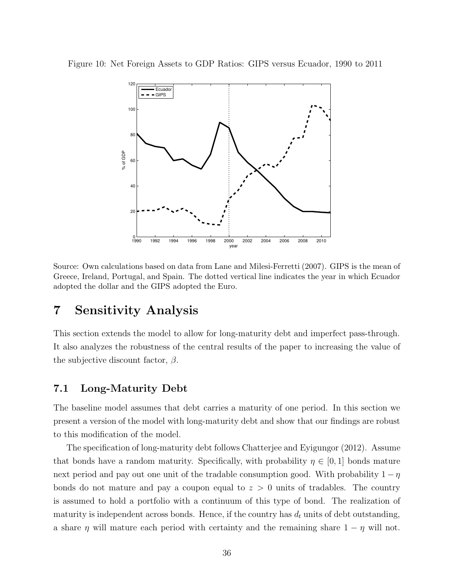



Source: Own calculations based on data from Lane and Milesi-Ferretti (2007). GIPS is the mean of Greece, Ireland, Portugal, and Spain. The dotted vertical line indicates the year in which Ecuador adopted the dollar and the GIPS adopted the Euro.

# 7 Sensitivity Analysis

This section extends the model to allow for long-maturity debt and imperfect pass-through. It also analyzes the robustness of the central results of the paper to increasing the value of the subjective discount factor,  $\beta$ .

# 7.1 Long-Maturity Debt

The baseline model assumes that debt carries a maturity of one period. In this section we present a version of the model with long-maturity debt and show that our findings are robust to this modification of the model.

The specification of long-maturity debt follows Chatterjee and Eyigungor (2012). Assume that bonds have a random maturity. Specifically, with probability  $\eta \in [0, 1]$  bonds mature next period and pay out one unit of the tradable consumption good. With probability  $1 - \eta$ bonds do not mature and pay a coupon equal to  $z > 0$  units of tradables. The country is assumed to hold a portfolio with a continuum of this type of bond. The realization of maturity is independent across bonds. Hence, if the country has  $d_t$  units of debt outstanding, a share  $\eta$  will mature each period with certainty and the remaining share  $1 - \eta$  will not.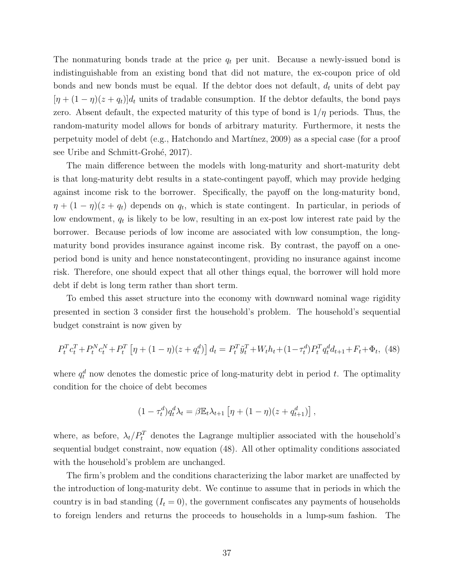The nonmaturing bonds trade at the price  $q_t$  per unit. Because a newly-issued bond is indistinguishable from an existing bond that did not mature, the ex-coupon price of old bonds and new bonds must be equal. If the debtor does not default,  $d_t$  units of debt pay  $[\eta + (1 - \eta)(z + q_t)]d_t$  units of tradable consumption. If the debtor defaults, the bond pays zero. Absent default, the expected maturity of this type of bond is  $1/\eta$  periods. Thus, the random-maturity model allows for bonds of arbitrary maturity. Furthermore, it nests the perpetuity model of debt (e.g., Hatchondo and Martínez, 2009) as a special case (for a proof see Uribe and Schmitt-Grohé, 2017).

The main difference between the models with long-maturity and short-maturity debt is that long-maturity debt results in a state-contingent payoff, which may provide hedging against income risk to the borrower. Specifically, the payoff on the long-maturity bond,  $\eta + (1 - \eta)(z + q_t)$  depends on  $q_t$ , which is state contingent. In particular, in periods of low endowment,  $q_t$  is likely to be low, resulting in an ex-post low interest rate paid by the borrower. Because periods of low income are associated with low consumption, the longmaturity bond provides insurance against income risk. By contrast, the payoff on a oneperiod bond is unity and hence nonstatecontingent, providing no insurance against income risk. Therefore, one should expect that all other things equal, the borrower will hold more debt if debt is long term rather than short term.

To embed this asset structure into the economy with downward nominal wage rigidity presented in section 3 consider first the household's problem. The household's sequential budget constraint is now given by

$$
P_t^T c_t^T + P_t^N c_t^N + P_t^T \left[ \eta + (1 - \eta)(z + q_t^d) \right] d_t = P_t^T \tilde{y}_t^T + W_t h_t + (1 - \tau_t^d) P_t^T q_t^d d_{t+1} + F_t + \Phi_t, \tag{48}
$$

where  $q_t^d$  now denotes the domestic price of long-maturity debt in period t. The optimality condition for the choice of debt becomes

$$
(1 - \tau_t^d) q_t^d \lambda_t = \beta \mathbb{E}_t \lambda_{t+1} \left[ \eta + (1 - \eta)(z + q_{t+1}^d) \right],
$$

where, as before,  $\lambda_t/P_t^T$  denotes the Lagrange multiplier associated with the household's sequential budget constraint, now equation (48). All other optimality conditions associated with the household's problem are unchanged.

The firm's problem and the conditions characterizing the labor market are unaffected by the introduction of long-maturity debt. We continue to assume that in periods in which the country is in bad standing  $(I_t = 0)$ , the government confiscates any payments of households to foreign lenders and returns the proceeds to households in a lump-sum fashion. The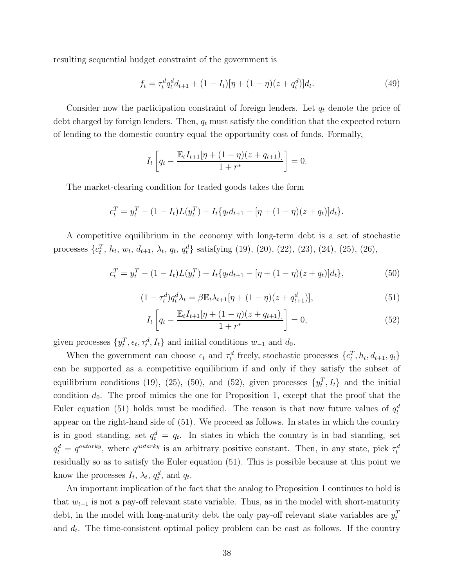resulting sequential budget constraint of the government is

$$
f_t = \tau_t^d q_t^d d_{t+1} + (1 - I_t) [\eta + (1 - \eta)(z + q_t^d)] d_t.
$$
 (49)

Consider now the participation constraint of foreign lenders. Let  $q_t$  denote the price of debt charged by foreign lenders. Then,  $q_t$  must satisfy the condition that the expected return of lending to the domestic country equal the opportunity cost of funds. Formally,

$$
I_t \left[ q_t - \frac{\mathbb{E}_t I_{t+1}[\eta + (1 - \eta)(z + q_{t+1})]}{1 + r^*} \right] = 0.
$$

The market-clearing condition for traded goods takes the form

$$
c_t^T = y_t^T - (1 - I_t)L(y_t^T) + I_t\{q_t d_{t+1} - [\eta + (1 - \eta)(z + q_t)]d_t\}.
$$

A competitive equilibrium in the economy with long-term debt is a set of stochastic processes  $\{c_t^T, h_t, w_t, d_{t+1}, \lambda_t, q_t, q_t^d\}$  satisfying  $(19)$ ,  $(20)$ ,  $(22)$ ,  $(23)$ ,  $(24)$ ,  $(25)$ ,  $(26)$ ,

$$
c_t^T = y_t^T - (1 - I_t)L(y_t^T) + I_t\{q_t d_{t+1} - [\eta + (1 - \eta)(z + q_t)]d_t\},\tag{50}
$$

$$
(1 - \tau_t^d) q_t^d \lambda_t = \beta \mathbb{E}_t \lambda_{t+1} [\eta + (1 - \eta)(z + q_{t+1}^d)], \tag{51}
$$

$$
I_t \left[ q_t - \frac{\mathbb{E}_t I_{t+1} [\eta + (1 - \eta)(z + q_{t+1})]}{1 + r^*} \right] = 0,
$$
\n(52)

given processes  $\{y_t^T, \epsilon_t, \tau_t^d, I_t\}$  and initial conditions  $w_{-1}$  and  $d_0$ .

When the government can choose  $\epsilon_t$  and  $\tau_t^d$  freely, stochastic processes  $\{c_t^T, h_t, d_{t+1}, q_t\}$ can be supported as a competitive equilibrium if and only if they satisfy the subset of equilibrium conditions (19), (25), (50), and (52), given processes  $\{y_t^T, I_t\}$  and the initial condition  $d_0$ . The proof mimics the one for Proposition 1, except that the proof that the Euler equation (51) holds must be modified. The reason is that now future values of  $q_t^d$ appear on the right-hand side of (51). We proceed as follows. In states in which the country is in good standing, set  $q_t^d = q_t$ . In states in which the country is in bad standing, set  $q_t^d = q^{autarky}$ , where  $q^{autarky}$  is an arbitrary positive constant. Then, in any state, pick  $\tau_t^d$ residually so as to satisfy the Euler equation (51). This is possible because at this point we know the processes  $I_t$ ,  $\lambda_t$ ,  $q_t^d$ , and  $q_t$ .

An important implication of the fact that the analog to Proposition 1 continues to hold is that  $w_{t-1}$  is not a pay-off relevant state variable. Thus, as in the model with short-maturity debt, in the model with long-maturity debt the only pay-off relevant state variables are  $y_t^T$ and  $d_t$ . The time-consistent optimal policy problem can be cast as follows. If the country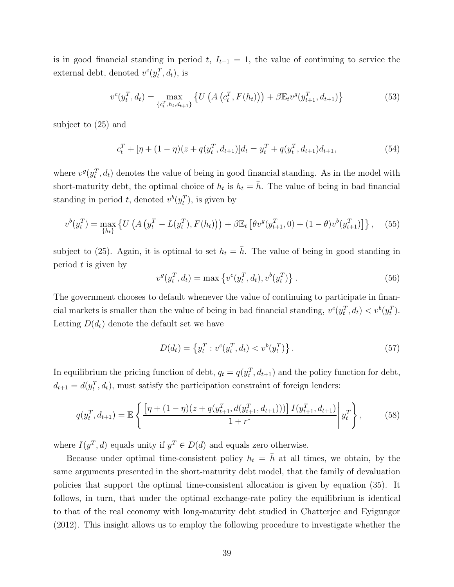is in good financial standing in period t,  $I_{t-1} = 1$ , the value of continuing to service the external debt, denoted  $v^c(y_t^T, d_t)$ , is

$$
v^{c}(y_{t}^{T}, d_{t}) = \max_{\{c_{t}^{T}, h_{t}, d_{t+1}\}} \left\{ U\left(A\left(c_{t}^{T}, F(h_{t})\right)\right) + \beta \mathbb{E}_{t} v^{g}(y_{t+1}^{T}, d_{t+1}) \right\}
$$
(53)

subject to (25) and

$$
c_t^T + [\eta + (1 - \eta)(z + q(y_t^T, d_{t+1})]d_t = y_t^T + q(y_t^T, d_{t+1})d_{t+1},
$$
\n(54)

where  $v^g(y_t^T, d_t)$  denotes the value of being in good financial standing. As in the model with short-maturity debt, the optimal choice of  $h_t$  is  $h_t = \overline{h}$ . The value of being in bad financial standing in period t, denoted  $v^b(y_t^T)$ , is given by

$$
v^{b}(y_{t}^{T}) = \max_{\{h_{t}\}} \left\{ U\left(A\left(y_{t}^{T} - L(y_{t}^{T}), F(h_{t})\right)\right) + \beta \mathbb{E}_{t}\left[\theta v^{g}(y_{t+1}^{T}, 0) + (1-\theta)v^{b}(y_{t+1}^{T})\right] \right\},\tag{55}
$$

subject to (25). Again, it is optimal to set  $h_t = \bar{h}$ . The value of being in good standing in period  $t$  is given by

$$
v^{g}(y_{t}^{T}, d_{t}) = \max \{ v^{c}(y_{t}^{T}, d_{t}), v^{b}(y_{t}^{T}) \}.
$$
 (56)

The government chooses to default whenever the value of continuing to participate in financial markets is smaller than the value of being in bad financial standing,  $v^c(y_t^T, d_t) < v^b(y_t^T)$ . Letting  $D(d_t)$  denote the default set we have

$$
D(d_t) = \left\{ y_t^T : v^c(y_t^T, d_t) < v^b(y_t^T) \right\}.
$$
\n(57)

In equilibrium the pricing function of debt,  $q_t = q(y_t^T, d_{t+1})$  and the policy function for debt,  $d_{t+1} = d(y_t^T, d_t)$ , must satisfy the participation constraint of foreign lenders:

$$
q(y_t^T, d_{t+1}) = \mathbb{E}\left\{ \frac{\left[\eta + (1-\eta)(z + q(y_{t+1}^T, d(y_{t+1}^T, d_{t+1})))\right] I(y_{t+1}^T, d_{t+1})}{1 + r^*} \middle| y_t^T \right\},\tag{58}
$$

where  $I(y^T, d)$  equals unity if  $y^T \in D(d)$  and equals zero otherwise.

Because under optimal time-consistent policy  $h_t = \bar{h}$  at all times, we obtain, by the same arguments presented in the short-maturity debt model, that the family of devaluation policies that support the optimal time-consistent allocation is given by equation (35). It follows, in turn, that under the optimal exchange-rate policy the equilibrium is identical to that of the real economy with long-maturity debt studied in Chatterjee and Eyigungor (2012). This insight allows us to employ the following procedure to investigate whether the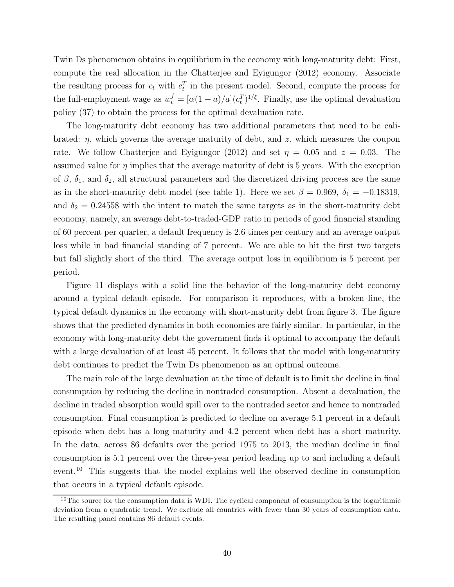Twin Ds phenomenon obtains in equilibrium in the economy with long-maturity debt: First, compute the real allocation in the Chatterjee and Eyigungor (2012) economy. Associate the resulting process for  $c_t$  with  $c_t^T$  in the present model. Second, compute the process for the full-employment wage as  $w_t^f = [\alpha(1-a)/a](c_t^T)^{1/\xi}$ . Finally, use the optimal devaluation policy (37) to obtain the process for the optimal devaluation rate.

The long-maturity debt economy has two additional parameters that need to be calibrated:  $\eta$ , which governs the average maturity of debt, and z, which measures the coupon rate. We follow Chatterjee and Eyigungor (2012) and set  $\eta = 0.05$  and  $z = 0.03$ . The assumed value for  $\eta$  implies that the average maturity of debt is 5 years. With the exception of  $\beta$ ,  $\delta_1$ , and  $\delta_2$ , all structural parameters and the discretized driving process are the same as in the short-maturity debt model (see table 1). Here we set  $\beta = 0.969, \delta_1 = -0.18319$ , and  $\delta_2 = 0.24558$  with the intent to match the same targets as in the short-maturity debt economy, namely, an average debt-to-traded-GDP ratio in periods of good financial standing of 60 percent per quarter, a default frequency is 2.6 times per century and an average output loss while in bad financial standing of 7 percent. We are able to hit the first two targets but fall slightly short of the third. The average output loss in equilibrium is 5 percent per period.

Figure 11 displays with a solid line the behavior of the long-maturity debt economy around a typical default episode. For comparison it reproduces, with a broken line, the typical default dynamics in the economy with short-maturity debt from figure 3. The figure shows that the predicted dynamics in both economies are fairly similar. In particular, in the economy with long-maturity debt the government finds it optimal to accompany the default with a large devaluation of at least 45 percent. It follows that the model with long-maturity debt continues to predict the Twin Ds phenomenon as an optimal outcome.

The main role of the large devaluation at the time of default is to limit the decline in final consumption by reducing the decline in nontraded consumption. Absent a devaluation, the decline in traded absorption would spill over to the nontraded sector and hence to nontraded consumption. Final consumption is predicted to decline on average 5.1 percent in a default episode when debt has a long maturity and 4.2 percent when debt has a short maturity. In the data, across 86 defaults over the period 1975 to 2013, the median decline in final consumption is 5.1 percent over the three-year period leading up to and including a default event.<sup>10</sup> This suggests that the model explains well the observed decline in consumption that occurs in a typical default episode.

 $10$ The source for the consumption data is WDI. The cyclical component of consumption is the logarithmic deviation from a quadratic trend. We exclude all countries with fewer than 30 years of consumption data. The resulting panel contains 86 default events.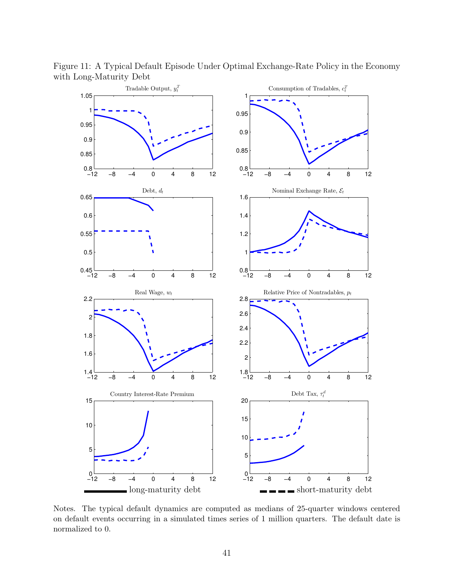

Figure 11: A Typical Default Episode Under Optimal Exchange-Rate Policy in the Economy with Long-Maturity Debt

Notes. The typical default dynamics are computed as medians of 25-quarter windows centered on default events occurring in a simulated times series of 1 million quarters. The default date is normalized to 0.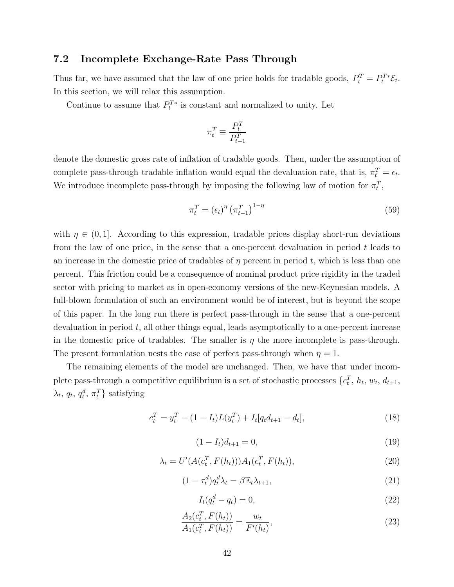## 7.2 Incomplete Exchange-Rate Pass Through

Thus far, we have assumed that the law of one price holds for tradable goods,  $P_t^T = P_t^{T*} \mathcal{E}_t$ . In this section, we will relax this assumption.

Continue to assume that  $P_t^{T*}$  is constant and normalized to unity. Let

$$
\pi^T_t \equiv \frac{P^T_t}{P^T_{t-1}}
$$

denote the domestic gross rate of inflation of tradable goods. Then, under the assumption of complete pass-through tradable inflation would equal the devaluation rate, that is,  $\pi_t^T = \epsilon_t$ . We introduce incomplete pass-through by imposing the following law of motion for  $\pi_t^T$ ,

$$
\pi_t^T = \left(\epsilon_t\right)^{\eta} \left(\pi_{t-1}^T\right)^{1-\eta} \tag{59}
$$

with  $\eta \in (0,1]$ . According to this expression, tradable prices display short-run deviations from the law of one price, in the sense that a one-percent devaluation in period  $t$  leads to an increase in the domestic price of tradables of  $\eta$  percent in period t, which is less than one percent. This friction could be a consequence of nominal product price rigidity in the traded sector with pricing to market as in open-economy versions of the new-Keynesian models. A full-blown formulation of such an environment would be of interest, but is beyond the scope of this paper. In the long run there is perfect pass-through in the sense that a one-percent devaluation in period t, all other things equal, leads asymptotically to a one-percent increase in the domestic price of tradables. The smaller is  $\eta$  the more incomplete is pass-through. The present formulation nests the case of perfect pass-through when  $\eta = 1$ .

The remaining elements of the model are unchanged. Then, we have that under incomplete pass-through a competitive equilibrium is a set of stochastic processes  $\{c_t^T, h_t, w_t, d_{t+1},$  $\lambda_t$ ,  $q_t$ ,  $q_t^d$ ,  $\pi_t^T$ } satisfying

$$
c_t^T = y_t^T - (1 - I_t)L(y_t^T) + I_t[q_t d_{t+1} - d_t],
$$
\n(18)

$$
(1 - I_t)d_{t+1} = 0,\t\t(19)
$$

$$
\lambda_t = U'(A(c_t^T, F(h_t))) A_1(c_t^T, F(h_t)), \tag{20}
$$

$$
(1 - \tau_t^d) q_t^d \lambda_t = \beta \mathbb{E}_t \lambda_{t+1}, \tag{21}
$$

$$
I_t(q_t^d - q_t) = 0,\t\t(22)
$$

$$
\frac{A_2(c_t^T, F(h_t))}{A_1(c_t^T, F(h_t))} = \frac{w_t}{F'(h_t)},
$$
\n(23)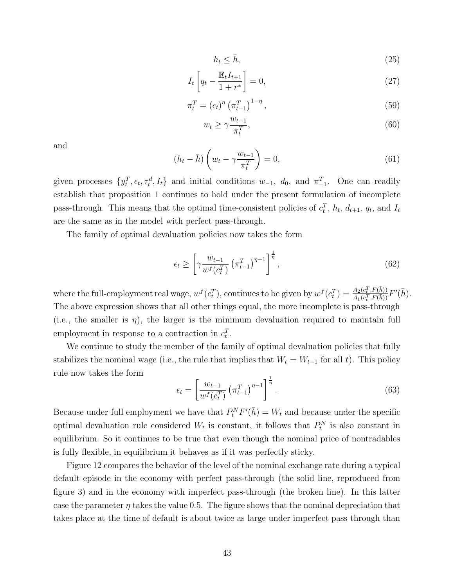$$
h_t \le \bar{h},\tag{25}
$$

$$
I_t \left[ q_t - \frac{\mathbb{E}_t I_{t+1}}{1 + r^*} \right] = 0,\t\t(27)
$$

$$
\pi_t^T = (\epsilon_t)^{\eta} \left(\pi_{t-1}^T\right)^{1-\eta},\tag{59}
$$

$$
w_t \ge \gamma \frac{w_{t-1}}{\pi_t^T},\tag{60}
$$

and

$$
(h_t - \bar{h})\left(w_t - \gamma \frac{w_{t-1}}{\pi_t^T}\right) = 0,\tag{61}
$$

given processes  $\{y_t^T, \epsilon_t, \tau_t^d, I_t\}$  and initial conditions  $w_{-1}$ ,  $d_0$ , and  $\pi_{-1}^T$ . One can readily establish that proposition 1 continues to hold under the present formulation of incomplete pass-through. This means that the optimal time-consistent policies of  $c_t^T$ ,  $h_t$ ,  $d_{t+1}$ ,  $q_t$ , and  $I_t$ are the same as in the model with perfect pass-through.

The family of optimal devaluation policies now takes the form

$$
\epsilon_t \ge \left[ \gamma \frac{w_{t-1}}{w^f(c_t^T)} \left( \pi_{t-1}^T \right)^{\eta-1} \right]^{\frac{1}{\eta}},\tag{62}
$$

where the full-employment real wage,  $w^f(c_t^T)$ , continues to be given by  $w^f(c_t^T) = \frac{A_2(c_t^T, F(\bar{h}))}{A_1(c_t^T, F(\bar{h}))}$  $\frac{A_2(c_t^T, F(h))}{A_1(c_t^T, F(\bar{h}))}F'(\bar{h}).$ The above expression shows that all other things equal, the more incomplete is pass-through (i.e., the smaller is  $\eta$ ), the larger is the minimum devaluation required to maintain full employment in response to a contraction in  $c_t^T$ .

We continue to study the member of the family of optimal devaluation policies that fully stabilizes the nominal wage (i.e., the rule that implies that  $W_t = W_{t-1}$  for all t). This policy rule now takes the form

$$
\epsilon_t = \left[\frac{w_{t-1}}{w^f(c_t^T)} \left(\pi_{t-1}^T\right)^{\eta-1}\right]^{\frac{1}{\eta}}.\tag{63}
$$

Because under full employment we have that  $P_t^N F'(\bar{h}) = W_t$  and because under the specific optimal devaluation rule considered  $W_t$  is constant, it follows that  $P_t^N$  is also constant in equilibrium. So it continues to be true that even though the nominal price of nontradables is fully flexible, in equilibrium it behaves as if it was perfectly sticky.

Figure 12 compares the behavior of the level of the nominal exchange rate during a typical default episode in the economy with perfect pass-through (the solid line, reproduced from figure 3) and in the economy with imperfect pass-through (the broken line). In this latter case the parameter  $\eta$  takes the value 0.5. The figure shows that the nominal depreciation that takes place at the time of default is about twice as large under imperfect pass through than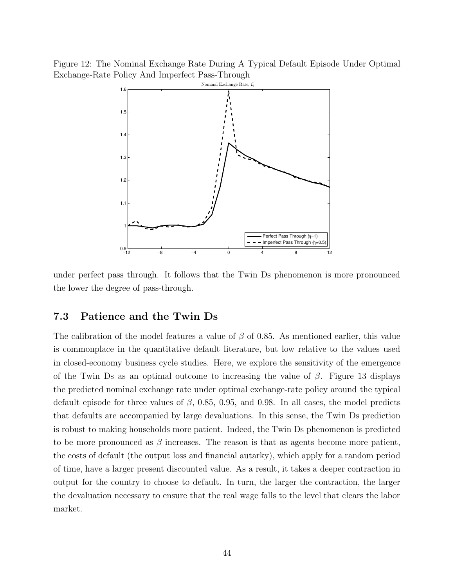Figure 12: The Nominal Exchange Rate During A Typical Default Episode Under Optimal Exchange-Rate Policy And Imperfect Pass-Through



under perfect pass through. It follows that the Twin Ds phenomenon is more pronounced the lower the degree of pass-through.

### 7.3 Patience and the Twin Ds

The calibration of the model features a value of  $\beta$  of 0.85. As mentioned earlier, this value is commonplace in the quantitative default literature, but low relative to the values used in closed-economy business cycle studies. Here, we explore the sensitivity of the emergence of the Twin Ds as an optimal outcome to increasing the value of  $\beta$ . Figure 13 displays the predicted nominal exchange rate under optimal exchange-rate policy around the typical default episode for three values of  $\beta$ , 0.85, 0.95, and 0.98. In all cases, the model predicts that defaults are accompanied by large devaluations. In this sense, the Twin Ds prediction is robust to making households more patient. Indeed, the Twin Ds phenomenon is predicted to be more pronounced as  $\beta$  increases. The reason is that as agents become more patient, the costs of default (the output loss and financial autarky), which apply for a random period of time, have a larger present discounted value. As a result, it takes a deeper contraction in output for the country to choose to default. In turn, the larger the contraction, the larger the devaluation necessary to ensure that the real wage falls to the level that clears the labor market.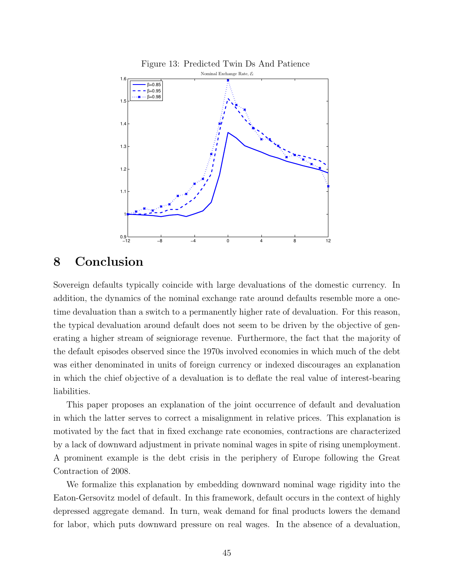

# 8 Conclusion

Sovereign defaults typically coincide with large devaluations of the domestic currency. In addition, the dynamics of the nominal exchange rate around defaults resemble more a onetime devaluation than a switch to a permanently higher rate of devaluation. For this reason, the typical devaluation around default does not seem to be driven by the objective of generating a higher stream of seigniorage revenue. Furthermore, the fact that the majority of the default episodes observed since the 1970s involved economies in which much of the debt was either denominated in units of foreign currency or indexed discourages an explanation in which the chief objective of a devaluation is to deflate the real value of interest-bearing liabilities.

This paper proposes an explanation of the joint occurrence of default and devaluation in which the latter serves to correct a misalignment in relative prices. This explanation is motivated by the fact that in fixed exchange rate economies, contractions are characterized by a lack of downward adjustment in private nominal wages in spite of rising unemployment. A prominent example is the debt crisis in the periphery of Europe following the Great Contraction of 2008.

We formalize this explanation by embedding downward nominal wage rigidity into the Eaton-Gersovitz model of default. In this framework, default occurs in the context of highly depressed aggregate demand. In turn, weak demand for final products lowers the demand for labor, which puts downward pressure on real wages. In the absence of a devaluation,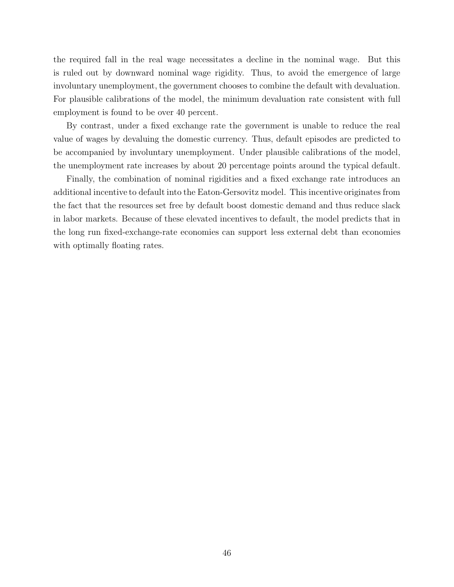the required fall in the real wage necessitates a decline in the nominal wage. But this is ruled out by downward nominal wage rigidity. Thus, to avoid the emergence of large involuntary unemployment, the government chooses to combine the default with devaluation. For plausible calibrations of the model, the minimum devaluation rate consistent with full employment is found to be over 40 percent.

By contrast, under a fixed exchange rate the government is unable to reduce the real value of wages by devaluing the domestic currency. Thus, default episodes are predicted to be accompanied by involuntary unemployment. Under plausible calibrations of the model, the unemployment rate increases by about 20 percentage points around the typical default.

Finally, the combination of nominal rigidities and a fixed exchange rate introduces an additional incentive to default into the Eaton-Gersovitz model. This incentive originates from the fact that the resources set free by default boost domestic demand and thus reduce slack in labor markets. Because of these elevated incentives to default, the model predicts that in the long run fixed-exchange-rate economies can support less external debt than economies with optimally floating rates.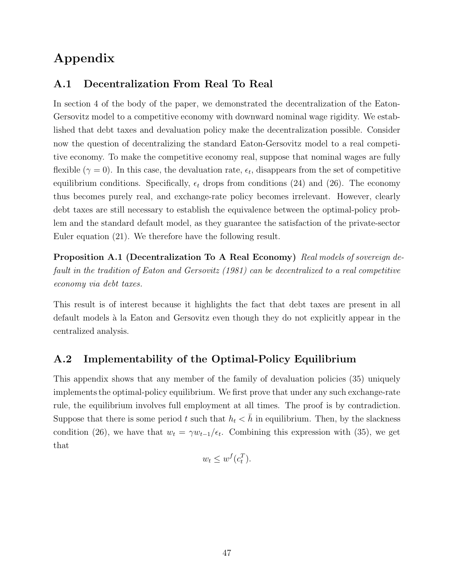# Appendix

# A.1 Decentralization From Real To Real

In section 4 of the body of the paper, we demonstrated the decentralization of the Eaton-Gersovitz model to a competitive economy with downward nominal wage rigidity. We established that debt taxes and devaluation policy make the decentralization possible. Consider now the question of decentralizing the standard Eaton-Gersovitz model to a real competitive economy. To make the competitive economy real, suppose that nominal wages are fully flexible ( $\gamma = 0$ ). In this case, the devaluation rate,  $\epsilon_t$ , disappears from the set of competitive equilibrium conditions. Specifically,  $\epsilon_t$  drops from conditions (24) and (26). The economy thus becomes purely real, and exchange-rate policy becomes irrelevant. However, clearly debt taxes are still necessary to establish the equivalence between the optimal-policy problem and the standard default model, as they guarantee the satisfaction of the private-sector Euler equation (21). We therefore have the following result.

Proposition A.1 (Decentralization To A Real Economy) Real models of sovereign default in the tradition of Eaton and Gersovitz (1981) can be decentralized to a real competitive economy via debt taxes.

This result is of interest because it highlights the fact that debt taxes are present in all default models à la Eaton and Gersovitz even though they do not explicitly appear in the centralized analysis.

# A.2 Implementability of the Optimal-Policy Equilibrium

This appendix shows that any member of the family of devaluation policies (35) uniquely implements the optimal-policy equilibrium. We first prove that under any such exchange-rate rule, the equilibrium involves full employment at all times. The proof is by contradiction. Suppose that there is some period t such that  $h_t < h$  in equilibrium. Then, by the slackness condition (26), we have that  $w_t = \gamma w_{t-1}/\epsilon_t$ . Combining this expression with (35), we get that

$$
w_t \leq w^f(c_t^T).
$$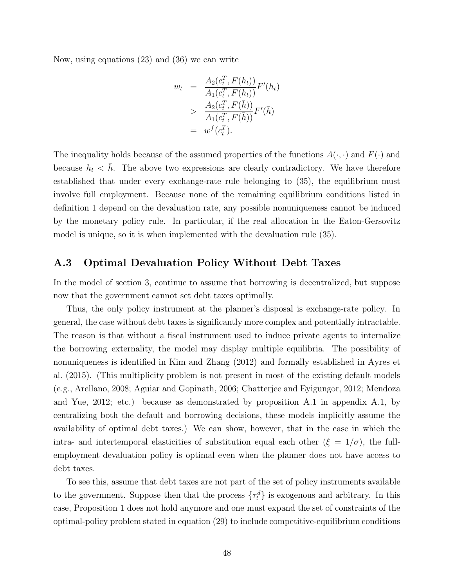Now, using equations (23) and (36) we can write

$$
w_t = \frac{A_2(c_t^T, F(h_t))}{A_1(c_t^T, F(h_t))} F'(h_t)
$$
  
> 
$$
\frac{A_2(c_t^T, F(\bar{h}))}{A_1(c_t^T, F(\bar{h}))} F'(\bar{h})
$$
  
= 
$$
w^f(c_t^T).
$$

The inequality holds because of the assumed properties of the functions  $A(\cdot, \cdot)$  and  $F(\cdot)$  and because  $h_t < \bar{h}$ . The above two expressions are clearly contradictory. We have therefore established that under every exchange-rate rule belonging to (35), the equilibrium must involve full employment. Because none of the remaining equilibrium conditions listed in definition 1 depend on the devaluation rate, any possible nonuniqueness cannot be induced by the monetary policy rule. In particular, if the real allocation in the Eaton-Gersovitz model is unique, so it is when implemented with the devaluation rule (35).

### A.3 Optimal Devaluation Policy Without Debt Taxes

In the model of section 3, continue to assume that borrowing is decentralized, but suppose now that the government cannot set debt taxes optimally.

Thus, the only policy instrument at the planner's disposal is exchange-rate policy. In general, the case without debt taxes is significantly more complex and potentially intractable. The reason is that without a fiscal instrument used to induce private agents to internalize the borrowing externality, the model may display multiple equilibria. The possibility of nonuniqueness is identified in Kim and Zhang (2012) and formally established in Ayres et al. (2015). (This multiplicity problem is not present in most of the existing default models (e.g., Arellano, 2008; Aguiar and Gopinath, 2006; Chatterjee and Eyigungor, 2012; Mendoza and Yue, 2012; etc.) because as demonstrated by proposition A.1 in appendix A.1, by centralizing both the default and borrowing decisions, these models implicitly assume the availability of optimal debt taxes.) We can show, however, that in the case in which the intra- and intertemporal elasticities of substitution equal each other ( $\xi = 1/\sigma$ ), the fullemployment devaluation policy is optimal even when the planner does not have access to debt taxes.

To see this, assume that debt taxes are not part of the set of policy instruments available to the government. Suppose then that the process  $\{\tau_t^d\}$  is exogenous and arbitrary. In this case, Proposition 1 does not hold anymore and one must expand the set of constraints of the optimal-policy problem stated in equation (29) to include competitive-equilibrium conditions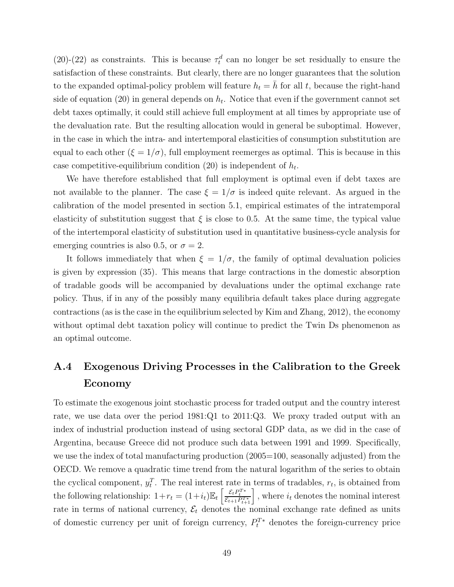(20)-(22) as constraints. This is because  $\tau_t^d$  can no longer be set residually to ensure the satisfaction of these constraints. But clearly, there are no longer guarantees that the solution to the expanded optimal-policy problem will feature  $h_t = h$  for all t, because the right-hand side of equation (20) in general depends on  $h_t$ . Notice that even if the government cannot set debt taxes optimally, it could still achieve full employment at all times by appropriate use of the devaluation rate. But the resulting allocation would in general be suboptimal. However, in the case in which the intra- and intertemporal elasticities of consumption substitution are equal to each other  $(\xi = 1/\sigma)$ , full employment reemerges as optimal. This is because in this case competitive-equilibrium condition (20) is independent of  $h_t$ .

We have therefore established that full employment is optimal even if debt taxes are not available to the planner. The case  $\xi = 1/\sigma$  is indeed quite relevant. As argued in the calibration of the model presented in section 5.1, empirical estimates of the intratemporal elasticity of substitution suggest that  $\xi$  is close to 0.5. At the same time, the typical value of the intertemporal elasticity of substitution used in quantitative business-cycle analysis for emerging countries is also 0.5, or  $\sigma = 2$ .

It follows immediately that when  $\xi = 1/\sigma$ , the family of optimal devaluation policies is given by expression (35). This means that large contractions in the domestic absorption of tradable goods will be accompanied by devaluations under the optimal exchange rate policy. Thus, if in any of the possibly many equilibria default takes place during aggregate contractions (as is the case in the equilibrium selected by Kim and Zhang, 2012), the economy without optimal debt taxation policy will continue to predict the Twin Ds phenomenon as an optimal outcome.

# A.4 Exogenous Driving Processes in the Calibration to the Greek Economy

To estimate the exogenous joint stochastic process for traded output and the country interest rate, we use data over the period 1981:Q1 to 2011:Q3. We proxy traded output with an index of industrial production instead of using sectoral GDP data, as we did in the case of Argentina, because Greece did not produce such data between 1991 and 1999. Specifically, we use the index of total manufacturing production  $(2005=100,$  seasonally adjusted) from the OECD. We remove a quadratic time trend from the natural logarithm of the series to obtain the cyclical component,  $y_t^T$ . The real interest rate in terms of tradables,  $r_t$ , is obtained from the following relationship:  $1+r_t = (1+i_t)\mathbb{E}_t \left[\frac{\mathcal{E}_t P_t^{T*}}{\mathcal{E}_{t+1} P_{t+1}^{T*}}\right]$ , where  $i_t$  denotes the nominal interest rate in terms of national currency,  $\mathcal{E}_t$  denotes the nominal exchange rate defined as units of domestic currency per unit of foreign currency,  $P_t^{T*}$  denotes the foreign-currency price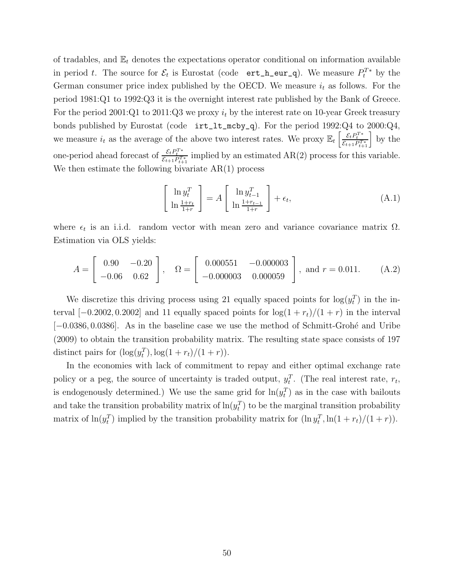of tradables, and  $\mathbb{E}_t$  denotes the expectations operator conditional on information available in period t. The source for  $\mathcal{E}_t$  is Eurostat (code  $ert_heur_q$ ). We measure  $P_t^{T*}$  by the German consumer price index published by the OECD. We measure  $i_t$  as follows. For the period 1981:Q1 to 1992:Q3 it is the overnight interest rate published by the Bank of Greece. For the period 2001:Q1 to 2011:Q3 we proxy  $i_t$  by the interest rate on 10-year Greek treasury bonds published by Eurostat (code irt\_lt\_mcby\_q). For the period 1992:Q4 to 2000:Q4, we measure  $i_t$  as the average of the above two interest rates. We proxy  $\mathbb{E}_t \left[ \frac{\mathcal{E}_t P_t^{T*}}{\mathcal{E}_{t+1} P_{t+1}^{T*}} \right]$  by the one-period ahead forecast of  $\frac{\mathcal{E}_t P_t^{T*}}{\mathcal{E}_{t+1} P_{t+1}^{T*}}$  implied by an estimated AR(2) process for this variable. We then estimate the following bivariate  $AR(1)$  process

$$
\begin{bmatrix} \ln y_t^T \\ \ln \frac{1+r_t}{1+r} \end{bmatrix} = A \begin{bmatrix} \ln y_{t-1}^T \\ \ln \frac{1+r_{t-1}}{1+r} \end{bmatrix} + \epsilon_t,
$$
\n(A.1)

where  $\epsilon_t$  is an i.i.d. random vector with mean zero and variance covariance matrix  $\Omega$ . Estimation via OLS yields:

$$
A = \begin{bmatrix} 0.90 & -0.20 \\ -0.06 & 0.62 \end{bmatrix}, \quad \Omega = \begin{bmatrix} 0.000551 & -0.000003 \\ -0.000003 & 0.000059 \end{bmatrix}, \text{ and } r = 0.011.
$$
 (A.2)

We discretize this driving process using 21 equally spaced points for  $\log(y_t^T)$  in the interval [-0.2002, 0.2002] and 11 equally spaced points for  $\log(1 + r_t)/(1 + r)$  in the interval [−0.0386, 0.0386]. As in the baseline case we use the method of Schmitt-Groh´e and Uribe (2009) to obtain the transition probability matrix. The resulting state space consists of 197 distinct pairs for  $(\log(y_t^T), \log(1 + r_t)/(1 + r)).$ 

In the economies with lack of commitment to repay and either optimal exchange rate policy or a peg, the source of uncertainty is traded output,  $y_t^T$ . (The real interest rate,  $r_t$ , is endogenously determined.) We use the same grid for  $\ln(y_t^T)$  as in the case with bailouts and take the transition probability matrix of  $\ln(y_t^T)$  to be the marginal transition probability matrix of  $\ln(y_t^T)$  implied by the transition probability matrix for  $(\ln y_t^T, \ln(1 + r_t)/(1 + r))$ .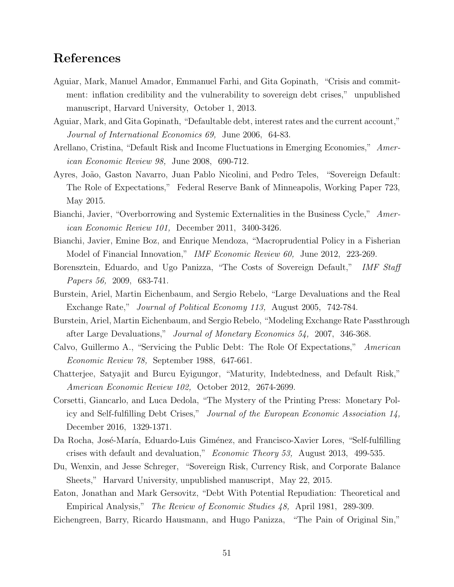# References

- Aguiar, Mark, Manuel Amador, Emmanuel Farhi, and Gita Gopinath, "Crisis and commitment: inflation credibility and the vulnerability to sovereign debt crises," unpublished manuscript, Harvard University, October 1, 2013.
- Aguiar, Mark, and Gita Gopinath, "Defaultable debt, interest rates and the current account," Journal of International Economics 69, June 2006, 64-83.
- Arellano, Cristina, "Default Risk and Income Fluctuations in Emerging Economies," American Economic Review 98, June 2008, 690-712.
- Ayres, João, Gaston Navarro, Juan Pablo Nicolini, and Pedro Teles, "Sovereign Default: The Role of Expectations," Federal Reserve Bank of Minneapolis, Working Paper 723, May 2015.
- Bianchi, Javier, "Overborrowing and Systemic Externalities in the Business Cycle," American Economic Review 101, December 2011, 3400-3426.
- Bianchi, Javier, Emine Boz, and Enrique Mendoza, "Macroprudential Policy in a Fisherian Model of Financial Innovation," IMF Economic Review 60, June 2012, 223-269.
- Borensztein, Eduardo, and Ugo Panizza, "The Costs of Sovereign Default," IMF Staff Papers 56, 2009, 683-741.
- Burstein, Ariel, Martin Eichenbaum, and Sergio Rebelo, "Large Devaluations and the Real Exchange Rate," Journal of Political Economy 113, August 2005, 742-784.
- Burstein, Ariel, Martin Eichenbaum, and Sergio Rebelo, "Modeling Exchange Rate Passthrough after Large Devaluations," Journal of Monetary Economics 54, 2007, 346-368.
- Calvo, Guillermo A., "Servicing the Public Debt: The Role Of Expectations," American Economic Review 78, September 1988, 647-661.
- Chatterjee, Satyajit and Burcu Eyigungor, "Maturity, Indebtedness, and Default Risk," American Economic Review 102, October 2012, 2674-2699.
- Corsetti, Giancarlo, and Luca Dedola, "The Mystery of the Printing Press: Monetary Policy and Self-fulfilling Debt Crises," Journal of the European Economic Association 14, December 2016, 1329-1371.
- Da Rocha, José-María, Eduardo-Luis Giménez, and Francisco-Xavier Lores, "Self-fulfilling crises with default and devaluation," Economic Theory 53, August 2013, 499-535.
- Du, Wenxin, and Jesse Schreger, "Sovereign Risk, Currency Risk, and Corporate Balance Sheets," Harvard University, unpublished manuscript, May 22, 2015.
- Eaton, Jonathan and Mark Gersovitz, "Debt With Potential Repudiation: Theoretical and Empirical Analysis," The Review of Economic Studies 48, April 1981, 289-309.
- Eichengreen, Barry, Ricardo Hausmann, and Hugo Panizza, "The Pain of Original Sin,"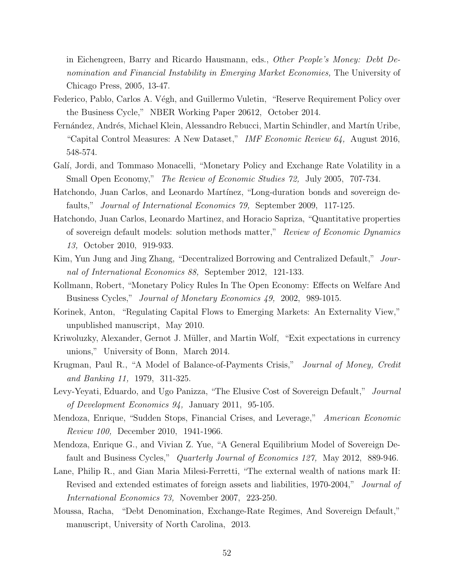in Eichengreen, Barry and Ricardo Hausmann, eds., Other People's Money: Debt Denomination and Financial Instability in Emerging Market Economies, The University of Chicago Press, 2005, 13-47.

- Federico, Pablo, Carlos A. Végh, and Guillermo Vuletin, "Reserve Requirement Policy over the Business Cycle," NBER Working Paper 20612, October 2014.
- Fernández, Andrés, Michael Klein, Alessandro Rebucci, Martin Schindler, and Martín Uribe, "Capital Control Measures: A New Dataset," IMF Economic Review 64, August 2016, 548-574.
- Galí, Jordi, and Tommaso Monacelli, "Monetary Policy and Exchange Rate Volatility in a Small Open Economy," The Review of Economic Studies 72, July 2005, 707-734.
- Hatchondo, Juan Carlos, and Leonardo Martínez, "Long-duration bonds and sovereign defaults," Journal of International Economics 79, September 2009, 117-125.
- Hatchondo, Juan Carlos, Leonardo Martinez, and Horacio Sapriza, "Quantitative properties of sovereign default models: solution methods matter," Review of Economic Dynamics 13, October 2010, 919-933.
- Kim, Yun Jung and Jing Zhang, "Decentralized Borrowing and Centralized Default," Journal of International Economics 88, September 2012, 121-133.
- Kollmann, Robert, "Monetary Policy Rules In The Open Economy: Effects on Welfare And Business Cycles," Journal of Monetary Economics 49, 2002, 989-1015.
- Korinek, Anton, "Regulating Capital Flows to Emerging Markets: An Externality View," unpublished manuscript, May 2010.
- Kriwoluzky, Alexander, Gernot J. Müller, and Martin Wolf, "Exit expectations in currency unions," University of Bonn, March 2014.
- Krugman, Paul R., "A Model of Balance-of-Payments Crisis," Journal of Money, Credit and Banking 11, 1979, 311-325.
- Levy-Yeyati, Eduardo, and Ugo Panizza, "The Elusive Cost of Sovereign Default," Journal of Development Economics 94, January 2011, 95-105.
- Mendoza, Enrique, "Sudden Stops, Financial Crises, and Leverage," American Economic Review 100, December 2010, 1941-1966.
- Mendoza, Enrique G., and Vivian Z. Yue, "A General Equilibrium Model of Sovereign Default and Business Cycles," *Quarterly Journal of Economics 127*, May 2012, 889-946.
- Lane, Philip R., and Gian Maria Milesi-Ferretti, "The external wealth of nations mark II: Revised and extended estimates of foreign assets and liabilities, 1970-2004," Journal of International Economics 73, November 2007, 223-250.
- Moussa, Racha, "Debt Denomination, Exchange-Rate Regimes, And Sovereign Default," manuscript, University of North Carolina, 2013.